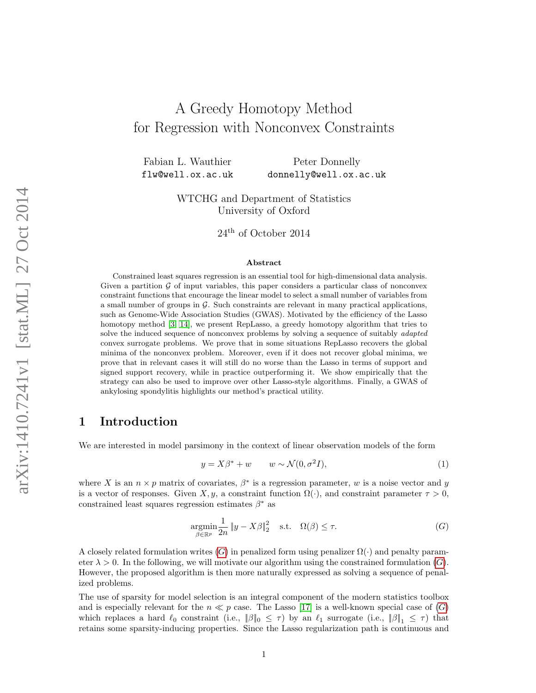# A Greedy Homotopy Method for Regression with Nonconvex Constraints

Fabian L. Wauthier Peter Donnelly flw@well.ox.ac.uk donnelly@well.ox.ac.uk

> WTCHG and Department of Statistics University of Oxford

> > 24th of October 2014

#### Abstract

Constrained least squares regression is an essential tool for high-dimensional data analysis. Given a partition  $\mathcal G$  of input variables, this paper considers a particular class of nonconvex constraint functions that encourage the linear model to select a small number of variables from a small number of groups in  $\mathcal G$ . Such constraints are relevant in many practical applications, such as Genome-Wide Association Studies (GWAS). Motivated by the efficiency of the Lasso homotopy method [\[3,](#page-11-0) [14\]](#page-11-1), we present RepLasso, a greedy homotopy algorithm that tries to solve the induced sequence of nonconvex problems by solving a sequence of suitably adapted convex surrogate problems. We prove that in some situations RepLasso recovers the global minima of the nonconvex problem. Moreover, even if it does not recover global minima, we prove that in relevant cases it will still do no worse than the Lasso in terms of support and signed support recovery, while in practice outperforming it. We show empirically that the strategy can also be used to improve over other Lasso-style algorithms. Finally, a GWAS of ankylosing spondylitis highlights our method's practical utility.

### 1 Introduction

We are interested in model parsimony in the context of linear observation models of the form

<span id="page-0-0"></span>
$$
y = X\beta^* + w \qquad w \sim \mathcal{N}(0, \sigma^2 I), \tag{1}
$$

where X is an  $n \times p$  matrix of covariates,  $\beta^*$  is a regression parameter, w is a noise vector and y is a vector of responses. Given X, y, a constraint function  $\Omega(\cdot)$ , and constraint parameter  $\tau > 0$ , constrained least squares regression estimates  $\beta^*$  as

$$
\underset{\beta \in \mathbb{R}^p}{\operatorname{argmin}} \frac{1}{2n} \|y - X\beta\|_2^2 \quad \text{s.t.} \quad \Omega(\beta) \le \tau. \tag{G}
$$

A closely related formulation writes  $(G)$  $(G)$  $(G)$  in penalized form using penalizer  $\Omega(\cdot)$  and penalty parameter  $\lambda > 0$ . In the following, we will motivate our algorithm using the constrained formulation  $(G)$  $(G)$  $(G)$ . However, the proposed algorithm is then more naturally expressed as solving a sequence of penalized problems.

The use of sparsity for model selection is an integral component of the modern statistics toolbox and is especially relevant for the  $n \ll p$  case. The Lasso [\[17\]](#page-11-2) is a well-known special case of  $(G)$  $(G)$  $(G)$ which replaces a hard  $\ell_0$  constraint (i.e.,  $\|\beta\|_0 \leq \tau$ ) by an  $\ell_1$  surrogate (i.e.,  $\|\beta\|_1 \leq \tau$ ) that retains some sparsity-inducing properties. Since the Lasso regularization path is continuous and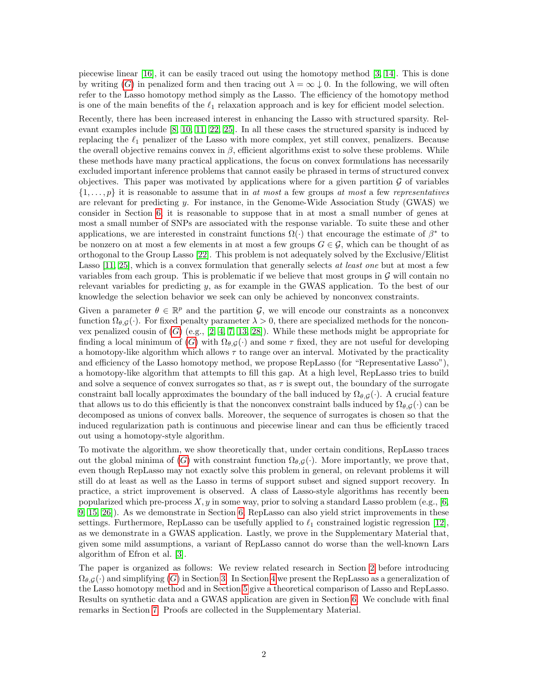piecewise linear [\[16\]](#page-11-3), it can be easily traced out using the homotopy method [\[3,](#page-11-0) [14\]](#page-11-1). This is done by writing ([G](#page-0-0)) in penalized form and then tracing out  $\lambda = \infty \downarrow 0$ . In the following, we will often refer to the Lasso homotopy method simply as the Lasso. The efficiency of the homotopy method is one of the main benefits of the  $\ell_1$  relaxation approach and is key for efficient model selection.

Recently, there has been increased interest in enhancing the Lasso with structured sparsity. Relevant examples include [\[8,](#page-11-4) [10,](#page-11-5) [11,](#page-11-6) [22,](#page-12-0) [25\]](#page-12-1). In all these cases the structured sparsity is induced by replacing the  $\ell_1$  penalizer of the Lasso with more complex, yet still convex, penalizers. Because the overall objective remains convex in  $\beta$ , efficient algorithms exist to solve these problems. While these methods have many practical applications, the focus on convex formulations has necessarily excluded important inference problems that cannot easily be phrased in terms of structured convex objectives. This paper was motivated by applications where for a given partition  $\mathcal G$  of variables  $\{1,\ldots,p\}$  it is reasonable to assume that in at most a few groups at most a few representatives are relevant for predicting  $y$ . For instance, in the Genome-Wide Association Study (GWAS) we consider in Section [6,](#page-8-0) it is reasonable to suppose that in at most a small number of genes at most a small number of SNPs are associated with the response variable. To suite these and other applications, we are interested in constraint functions  $\Omega(\cdot)$  that encourage the estimate of  $\beta^*$  to be nonzero on at most a few elements in at most a few groups  $G \in \mathcal{G}$ , which can be thought of as orthogonal to the Group Lasso [\[22\]](#page-12-0). This problem is not adequately solved by the Exclusive/Elitist Lasso [\[11,](#page-11-6) [25\]](#page-12-1), which is a convex formulation that generally selects at least one but at most a few variables from each group. This is problematic if we believe that most groups in  $\mathcal G$  will contain no relevant variables for predicting  $y$ , as for example in the GWAS application. To the best of our knowledge the selection behavior we seek can only be achieved by nonconvex constraints.

Given a parameter  $\theta \in \mathbb{R}^p$  and the partition  $\mathcal{G}$ , we will encode our constraints as a nonconvex function  $\Omega_{\theta, \mathcal{G}}(\cdot)$ . For fixed penalty parameter  $\lambda > 0$ , there are specialized methods for the nonconvex penalized cousin of  $(G)$  $(G)$  $(G)$  (e.g., [\[2,](#page-11-7) [4,](#page-11-8) [7,](#page-11-9) [13,](#page-11-10) [28\]](#page-12-2)). While these methods might be appropriate for finding a local minimum of ([G](#page-0-0)) with  $\Omega_{\theta, \mathcal{G}}(\cdot)$  and some  $\tau$  fixed, they are not useful for developing a homotopy-like algorithm which allows  $\tau$  to range over an interval. Motivated by the practicality and efficiency of the Lasso homotopy method, we propose RepLasso (for "Representative Lasso"), a homotopy-like algorithm that attempts to fill this gap. At a high level, RepLasso tries to build and solve a sequence of convex surrogates so that, as  $\tau$  is swept out, the boundary of the surrogate constraint ball locally approximates the boundary of the ball induced by  $\Omega_{\theta,\mathcal{G}}(\cdot)$ . A crucial feature that allows us to do this efficiently is that the nonconvex constraint balls induced by  $\Omega_{\theta,G}(\cdot)$  can be decomposed as unions of convex balls. Moreover, the sequence of surrogates is chosen so that the induced regularization path is continuous and piecewise linear and can thus be efficiently traced out using a homotopy-style algorithm.

To motivate the algorithm, we show theoretically that, under certain conditions, RepLasso traces out the global minima of ([G](#page-0-0)) with constraint function  $\Omega_{\theta,G}(\cdot)$ . More importantly, we prove that, even though RepLasso may not exactly solve this problem in general, on relevant problems it will still do at least as well as the Lasso in terms of support subset and signed support recovery. In practice, a strict improvement is observed. A class of Lasso-style algorithms has recently been popularized which pre-process  $X, y$  in some way, prior to solving a standard Lasso problem (e.g., [\[6,](#page-11-11) [9,](#page-11-12) [15,](#page-11-13) [26\]](#page-12-3)). As we demonstrate in Section [6,](#page-8-0) RepLasso can also yield strict improvements in these settings. Furthermore, RepLasso can be usefully applied to  $\ell_1$  constrained logistic regression [\[12\]](#page-11-14), as we demonstrate in a GWAS application. Lastly, we prove in the Supplementary Material that, given some mild assumptions, a variant of RepLasso cannot do worse than the well-known Lars algorithm of Efron et al. [\[3\]](#page-11-0).

The paper is organized as follows: We review related research in Section [2](#page-2-0) before introducing  $\Omega_{\theta,G}(\cdot)$  $\Omega_{\theta,G}(\cdot)$  $\Omega_{\theta,G}(\cdot)$  and simplifying (G) in Section [3.](#page-2-1) In Section [4](#page-5-0) we present the RepLasso as a generalization of the Lasso homotopy method and in Section [5](#page-6-0) give a theoretical comparison of Lasso and RepLasso. Results on synthetic data and a GWAS application are given in Section [6.](#page-8-0) We conclude with final remarks in Section [7.](#page-9-0) Proofs are collected in the Supplementary Material.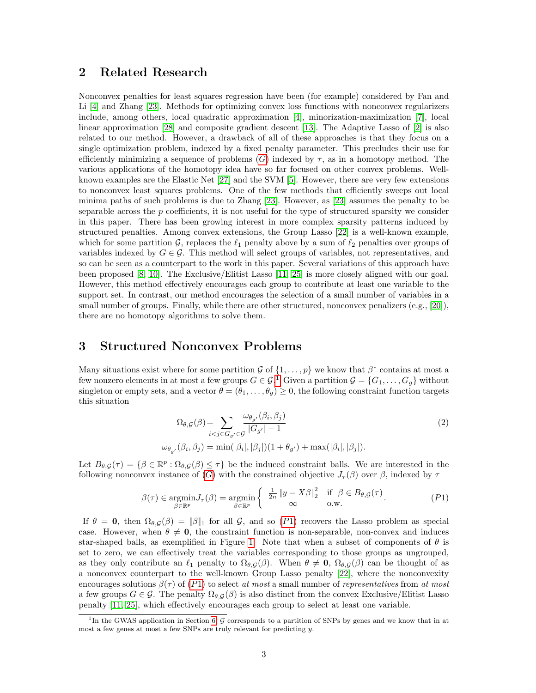### <span id="page-2-0"></span>2 Related Research

Nonconvex penalties for least squares regression have been (for example) considered by Fan and Li [\[4\]](#page-11-8) and Zhang [\[23\]](#page-12-4). Methods for optimizing convex loss functions with nonconvex regularizers include, among others, local quadratic approximation [\[4\]](#page-11-8), minorization-maximization [\[7\]](#page-11-9), local linear approximation [\[28\]](#page-12-2) and composite gradient descent [\[13\]](#page-11-10). The Adaptive Lasso of [\[2\]](#page-11-7) is also related to our method. However, a drawback of all of these approaches is that they focus on a single optimization problem, indexed by a fixed penalty parameter. This precludes their use for efficiently minimizing a sequence of problems  $(G)$  $(G)$  $(G)$  indexed by  $\tau$ , as in a homotopy method. The various applications of the homotopy idea have so far focused on other convex problems. Wellknown examples are the Elastic Net [\[27\]](#page-12-5) and the SVM [\[5\]](#page-11-15). However, there are very few extensions to nonconvex least squares problems. One of the few methods that efficiently sweeps out local minima paths of such problems is due to Zhang [\[23\]](#page-12-4). However, as [\[23\]](#page-12-4) assumes the penalty to be separable across the  $p$  coefficients, it is not useful for the type of structured sparsity we consider in this paper. There has been growing interest in more complex sparsity patterns induced by structured penalties. Among convex extensions, the Group Lasso [\[22\]](#page-12-0) is a well-known example, which for some partition  $\mathcal{G}$ , replaces the  $\ell_1$  penalty above by a sum of  $\ell_2$  penalties over groups of variables indexed by  $G \in \mathcal{G}$ . This method will select groups of variables, not representatives, and so can be seen as a counterpart to the work in this paper. Several variations of this approach have been proposed [\[8,](#page-11-4) [10\]](#page-11-5). The Exclusive/Elitist Lasso [\[11,](#page-11-6) [25\]](#page-12-1) is more closely aligned with our goal. However, this method effectively encourages each group to contribute at least one variable to the support set. In contrast, our method encourages the selection of a small number of variables in a small number of groups. Finally, while there are other structured, nonconvex penalizers (e.g., [\[20\]](#page-12-6)), there are no homotopy algorithms to solve them.

# <span id="page-2-1"></span>3 Structured Nonconvex Problems

Many situations exist where for some partition  $\mathcal{G}$  of  $\{1,\ldots,p\}$  we know that  $\beta^*$  contains at most a few nonzero elements in at most a few groups  $G \in \mathcal{G}^{\mathcal{X}}$ . Given a partition  $\mathcal{G} = \{G_1, \ldots, G_g\}$  $\mathcal{G} = \{G_1, \ldots, G_g\}$  $\mathcal{G} = \{G_1, \ldots, G_g\}$  without singleton or empty sets, and a vector  $\theta = (\theta_1, \ldots, \theta_q) \geq 0$ , the following constraint function targets this situation

<span id="page-2-3"></span>
$$
\Omega_{\theta,\mathcal{G}}(\beta) = \sum_{i < j \in G_{g'} \in \mathcal{G}} \frac{\omega_{\theta_{g'}}(\beta_i, \beta_j)}{|G_{g'}| - 1} \tag{2}
$$
\n
$$
\omega_{\theta_{g'}}(\beta_i, \beta_j) = \min(|\beta_i|, |\beta_j|)(1 + \theta_{g'}) + \max(|\beta_i|, |\beta_j|).
$$

Let  $B_{\theta,\mathcal{G}}(\tau) = \{\beta \in \mathbb{R}^p : \Omega_{\theta,\mathcal{G}}(\beta) \leq \tau\}$  be the induced constraint balls. We are interested in the following nonconvex instance of ([G](#page-0-0)) with the constrained objective  $J_{\tau}(\beta)$  over  $\beta$ , indexed by  $\tau$ 

$$
\beta(\tau) \in \underset{\beta \in \mathbb{R}^p}{\text{argmin}} J_{\tau}(\beta) = \underset{\beta \in \mathbb{R}^p}{\text{argmin}} \left\{ \begin{array}{ll} \frac{1}{2n} \left\| y - X\beta \right\|_2^2 & \text{if } \beta \in B_{\theta, \mathcal{G}}(\tau) \\ \infty & \text{o.w.} \end{array} \right. \tag{P1}
$$

If  $\theta = 0$ , then  $\Omega_{\theta, \mathcal{G}}(\beta) = ||\beta||_1$  for all  $\mathcal{G}$ , and so ([P](#page-2-3)1) recovers the Lasso problem as special case. However, when  $\theta \neq 0$ , the constraint function is non-separable, non-convex and induces star-shaped balls, as exemplified in Figure [1.](#page-3-0) Note that when a subset of components of  $\theta$  is set to zero, we can effectively treat the variables corresponding to those groups as ungrouped, as they only contribute an  $\ell_1$  penalty to  $\Omega_{\theta,G}(\beta)$ . When  $\theta \neq \mathbf{0}$ ,  $\Omega_{\theta,G}(\beta)$  can be thought of as a nonconvex counterpart to the well-known Group Lasso penalty [\[22\]](#page-12-0), where the nonconvexity encourages solutions  $\beta(\tau)$  of  $(P1)$  $(P1)$  $(P1)$  to select at most a small number of representatives from at most a few groups  $G \in \mathcal{G}$ . The penalty  $\Omega_{\theta,\mathcal{G}}(\beta)$  is also distinct from the convex Exclusive/Elitist Lasso penalty [\[11,](#page-11-6) [25\]](#page-12-1), which effectively encourages each group to select at least one variable.

<span id="page-2-2"></span><sup>&</sup>lt;sup>1</sup>In the GWAS application in Section [6,](#page-8-0) G corresponds to a partition of SNPs by genes and we know that in at most a few genes at most a few SNPs are truly relevant for predicting y.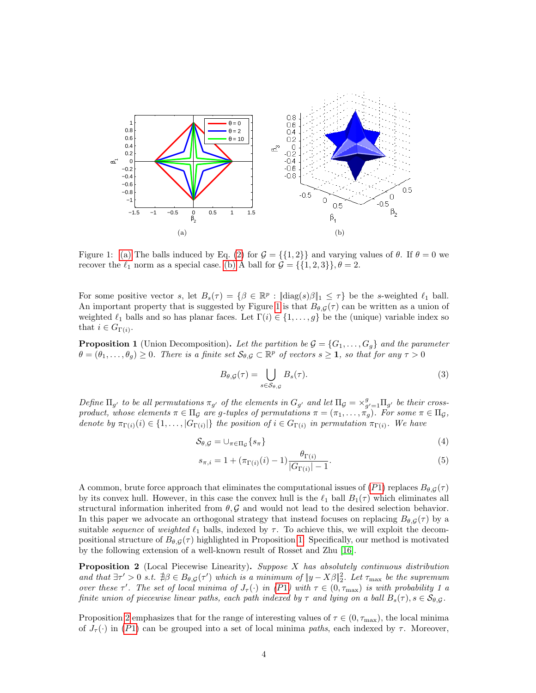<span id="page-3-1"></span>

Figure 1: [\(a\)](#page-3-1) The balls induced by Eq. [\(2\)](#page-2-3) for  $\mathcal{G} = \{\{1,2\}\}\$ and varying values of  $\theta$ . If  $\theta = 0$  we recover the  $\ell_1$  norm as a special case. [\(b\)](#page-3-2) A ball for  $\mathcal{G} = \{\{1, 2, 3\}\}, \theta = 2$ .

For some positive vector s, let  $B_s(\tau) = \{ \beta \in \mathbb{R}^p : ||\text{diag}(s)\beta||_1 \leq \tau \}$  be the s-weighted  $\ell_1$  ball. An important property that is suggested by Figure [1](#page-3-0) is that  $B_{\theta,\mathcal{G}}(\tau)$  can be written as a union of weighted  $\ell_1$  balls and so has planar faces. Let  $\Gamma(i) \in \{1, \ldots, g\}$  be the (unique) variable index so that  $i \in G_{\Gamma(i)}$ .

<span id="page-3-3"></span>**Proposition 1** (Union Decomposition). Let the partition be  $\mathcal{G} = \{G_1, \ldots, G_q\}$  and the parameter  $\theta = (\theta_1, \ldots, \theta_g) \geq 0$ . There is a finite set  $\mathcal{S}_{\theta, \mathcal{G}} \subset \mathbb{R}^p$  of vectors  $s \geq 1$ , so that for any  $\tau > 0$ 

<span id="page-3-2"></span><span id="page-3-0"></span>
$$
B_{\theta,\mathcal{G}}(\tau) = \bigcup_{s \in \mathcal{S}_{\theta,\mathcal{G}}} B_s(\tau). \tag{3}
$$

Define  $\Pi_{g'}$  to be all permutations  $\pi_{g'}$  of the elements in  $G_{g'}$  and let  $\Pi_{g} = \times_{g'=1}^{g} \Pi_{g'}$  be their crossproduct, whose elements  $\pi \in \Pi_{\mathcal{G}}$  are g-tuples of permutations  $\pi = (\pi_1, \ldots, \pi_g)$ . For some  $\pi \in \Pi_{\mathcal{G}}$ , denote by  $\pi_{\Gamma(i)}(i) \in \{1,\ldots,|G_{\Gamma(i)}|\}$  the position of  $i \in G_{\Gamma(i)}$  in permutation  $\pi_{\Gamma(i)}$ . We have

$$
S_{\theta,\mathcal{G}} = \cup_{\pi \in \Pi_{\mathcal{G}}} \{ s_{\pi} \}
$$
 (4)

$$
s_{\pi,i} = 1 + (\pi_{\Gamma(i)}(i) - 1) \frac{\theta_{\Gamma(i)}}{|G_{\Gamma(i)}| - 1}.
$$
\n(5)

A common, brute force approach that eliminates the computational issues of  $(P1)$  $(P1)$  $(P1)$  replaces  $B_{\theta,G}(\tau)$ by its convex hull. However, in this case the convex hull is the  $\ell_1$  ball  $B_1(\tau)$  which eliminates all structural information inherited from  $\theta$ , G and would not lead to the desired selection behavior. In this paper we advocate an orthogonal strategy that instead focuses on replacing  $B_{\theta,G}(\tau)$  by a suitable *sequence* of weighted  $\ell_1$  balls, indexed by  $\tau$ . To achieve this, we will exploit the decompositional structure of  $B_{\theta,G}(\tau)$  highlighted in Proposition [1.](#page-3-3) Specifically, our method is motivated by the following extension of a well-known result of Rosset and Zhu [\[16\]](#page-11-3).

<span id="page-3-4"></span>Proposition 2 (Local Piecewise Linearity). Suppose X has absolutely continuous distribution and that  $\exists \tau' > 0$  s.t.  $\exists \beta \in B_{\theta, \mathcal{G}}(\tau')$  which is a minimum of  $||y - X\beta||_2^2$ . Let  $\tau_{\text{max}}$  be the supremum over these  $\tau'$ . The set of local minima of  $J_{\tau}(\cdot)$  in  $(P1)$  $(P1)$  $(P1)$  with  $\tau \in (0, \tau_{\max})$  is with probability 1 a finite union of piecewise linear paths, each path indexed by  $\tau$  and lying on a ball  $B_s(\tau)$ ,  $s \in \mathcal{S}_{\theta, \mathcal{G}}$ .

Proposition [2](#page-3-4) emphasizes that for the range of interesting values of  $\tau \in (0, \tau_{\text{max}})$ , the local minima of  $J_{\tau}(\cdot)$  in ([P](#page-2-3)1) can be grouped into a set of local minima paths, each indexed by  $\tau$ . Moreover,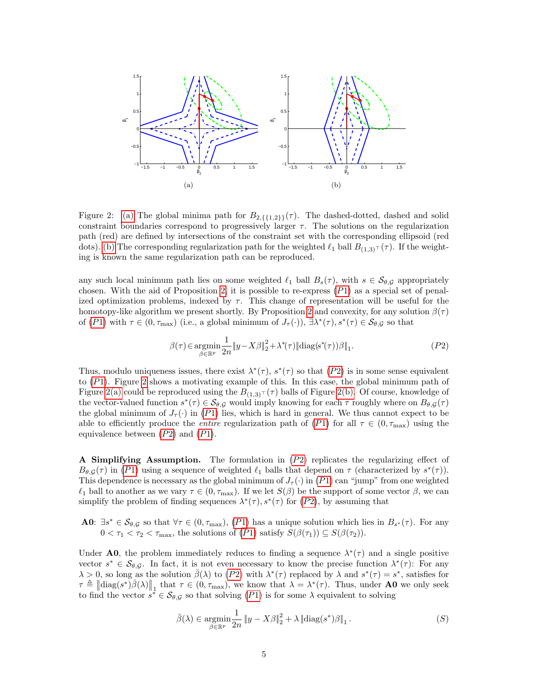<span id="page-4-1"></span><span id="page-4-0"></span>

<span id="page-4-2"></span>Figure 2: [\(a\)](#page-4-0) The global minima path for  $B_{2,\{1,2\}}(\tau)$ . The dashed-dotted, dashed and solid constraint boundaries correspond to progressively larger  $\tau$ . The solutions on the regularization path (red) are defined by intersections of the constraint set with the corresponding ellipsoid (red dots). [\(b\)](#page-4-1) The corresponding regularization path for the weighted  $\ell_1$  ball  $B_{(1,3)^T}(\tau)$ . If the weighting is known the same regularization path can be reproduced.

any such local minimum path lies on some weighted  $\ell_1$  ball  $B_s(\tau)$ , with  $s \in \mathcal{S}_{\theta, \mathcal{G}}$  appropriately chosen. With the aid of Proposition [2,](#page-3-4) it is possible to re-express  $(P1)$  $(P1)$  as a special set of penalized optimization problems, indexed by  $\tau$ . This change of representation will be useful for the homotopy-like algorithm we present shortly. By Proposition [2](#page-3-4) and convexity, for any solution  $\beta(\tau)$ of  $(P1)$  $(P1)$  $(P1)$  with  $\tau \in (0, \tau_{\max})$  (i.e., a global minimum of  $J_{\tau}(\cdot)$ ),  $\exists \lambda^*(\tau), s^*(\tau) \in \mathcal{S}_{\theta, \mathcal{G}}$  so that

$$
\beta(\tau) \in \underset{\beta \in \mathbb{R}^p}{\operatorname{argmin}} \frac{1}{2n} \|y - X\beta\|_2^2 + \lambda^*(\tau) \|\text{diag}(s^*(\tau))\beta\|_1. \tag{P2}
$$

Thus, modulo uniqueness issues, there exist  $\lambda^*(\tau)$ ,  $s^*(\tau)$  so that  $(P2)$  $(P2)$  $(P2)$  is in some sense equivalent to ([P](#page-2-3)1). Figure [2](#page-4-2) shows a motivating example of this. In this case, the global minimum path of Figure [2\(a\)](#page-4-0) could be reproduced using the  $B_{(1,3)^{T}}(\tau)$  balls of Figure [2\(b\).](#page-4-1) Of course, knowledge of the vector-valued function  $s^*(\tau) \in \mathcal{S}_{\theta, \mathcal{G}}$  would imply knowing for each  $\tau$  roughly where on  $B_{\theta, \mathcal{G}}(\tau)$ the global minimum of  $J_{\tau}(\cdot)$  in ([P](#page-2-3)1) lies, which is hard in general. We thus cannot expect to be able to efficiently produce the *entire* regularization path of  $(P1)$  $(P1)$  $(P1)$  for all  $\tau \in (0, \tau_{\text{max}})$  using the equivalence between  $(P2)$  $(P2)$  $(P2)$  and  $(P1)$ .

<span id="page-4-3"></span>A Simplifying Assumption. The formulation in  $(P2)$  $(P2)$  $(P2)$  replicates the regularizing effect of  $B_{\theta,\mathcal{G}}(\tau)$  in ([P](#page-2-3)1) using a sequence of weighted  $\ell_1$  balls that depend on  $\tau$  (characterized by  $s^*(\tau)$ ). This dependence is necessary as the global minimum of  $J_{\tau}(\cdot)$  in  $(P1)$  $(P1)$  $(P1)$  can "jump" from one weighted  $\ell_1$  ball to another as we vary  $\tau \in (0, \tau_{\text{max}})$ . If we let  $S(\beta)$  be the support of some vector  $\beta$ , we can simplify the problem of finding sequences  $\lambda^*(\tau)$ ,  $s^*(\tau)$  for  $(P2)$  $(P2)$  $(P2)$ , by assuming that

**A0**:  $\exists s^* \in \mathcal{S}_{\theta, \mathcal{G}}$  so that  $\forall \tau \in (0, \tau_{\text{max}}), (P1)$  $\forall \tau \in (0, \tau_{\text{max}}), (P1)$  $\forall \tau \in (0, \tau_{\text{max}}), (P1)$  has a unique solution which lies in  $B_{s^*}(\tau)$ . For any  $0 < \tau_1 < \tau_2 < \tau_{\text{max}}$ , the solutions of  $(P1)$  $(P1)$  $(P1)$  satisfy  $S(\beta(\tau_1)) \subseteq S(\beta(\tau_2))$ .

Under **A0**, the problem immediately reduces to finding a sequence  $\lambda^*(\tau)$  and a single positive vector  $s^* \in \mathcal{S}_{\theta, \mathcal{G}}$ . In fact, it is not even necessary to know the precise function  $\lambda^*(\tau)$ : For any  $\lambda > 0$ , so long as the solution  $\bar{\beta}(\lambda)$  to  $(P2)$  $(P2)$  $(P2)$  with  $\lambda^*(\tau)$  replaced by  $\lambda$  and  $s^*(\tau) = s^*$ , satisfies for  $\tau \triangleq \|\text{diag}(s^*)\overline{\beta}(\lambda)\|_1$  that  $\tau \in (0, \tau_{\text{max}})$ , we know that  $\lambda = \lambda^*(\tau)$ . Thus, under **A0** we only seek to find the vector  $s^* \in \mathcal{S}_{\theta, \mathcal{G}}$  so that solving  $(P1)$  $(P1)$  $(P1)$  is for some  $\lambda$  equivalent to solving

$$
\bar{\beta}(\lambda) \in \underset{\beta \in \mathbb{R}^p}{\text{argmin}} \frac{1}{2n} \|y - X\beta\|_2^2 + \lambda \|\text{diag}(s^*)\beta\|_1. \tag{S}
$$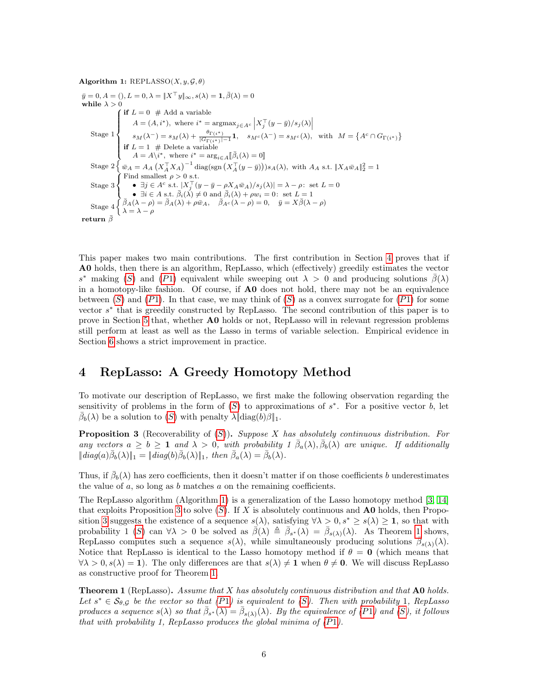<span id="page-5-1"></span>Algorithm 1: REPLASSO $(X, y, \mathcal{G}, \theta)$ 

 $\bar{y} = 0, A = (), L = 0, \lambda = ||X^{\top}y||_{\infty}, s(\lambda) = 1, \bar{\beta}(\lambda) = 0$ while  $\lambda > 0$ Stage 1  $\int$  if  $L = 0 \#$  Add a variable  $\int$ **if**  $L = 1$  # Delete a variable<br> $A = A \backslash i^*$ , where  $i^* = \arg$  $A = (A, i^*)$ , where  $i^* = \operatorname{argmax}_{j \in A^c} \left| X_j^\top (y - \bar{y}) / s_j(\lambda) \right|$ <br>  $s_M(\lambda^-) = s_M(\lambda) + \frac{\theta_{\Gamma(i^*)}}{|\overline{G}_{\Gamma(i^*)}|-1} \mathbf{1}, \quad s_{M^c}(\lambda^-) = s_{M^c}(\lambda), \text{ with } M = \{A^c \cap G_{\Gamma(i^*)}\}$  $A = A \n\begin{bmatrix} i^* , \text{ where } i^* = \arg_{i \in A} [\bar{\beta}_i(\lambda) = 0] \end{bmatrix}$ Stage  $2\left\{\bar{w}_A = A_A \left(X_A^{\top} X_A\right)^{-1} \text{diag}(\text{sgn}\left(X_A^{\top} (y - \bar{y})\right))s_A(\lambda), \text{ with } A_A \text{ s.t. } \|X_A \bar{w}_A\|_2^2 = 1\right\}$ Stage 3 Ĵ  $\mathcal{L}$ Find smallest  $\rho > 0$  s.t. •  $\exists j \in A^c \text{ s.t. } \lfloor X_j^\top (y - \bar{y} - \rho X_A \bar{w}_A)/s_j(\lambda) \rfloor = \lambda - \rho: \text{ set } L = 0$ •  $\exists i \in A \text{ s.t. } \overline{\beta}_i(\lambda) \neq 0 \text{ and } \overline{\beta}_i(\lambda) + \rho w_i = 0: \text{ set } L = 1$ Stage  $4 \int \overline{\beta}_A(\lambda - \rho) = \overline{\beta}_A(\lambda) + \rho \overline{w}_A$ ,  $\overline{\beta}_{A^c}(\lambda - \rho) = 0$ ,  $\overline{y} = X \overline{\beta}(\lambda - \rho)$  $\lambda = \lambda - \rho$ return $\bar{\beta}$ 

This paper makes two main contributions. The first contribution in Section [4](#page-5-0) proves that if A0 holds, then there is an algorithm, RepLasso, which (effectively) greedily estimates the vector s<sup>\*</sup> making ([S](#page-4-3)) and ([P](#page-2-3)1) equivalent while sweeping out  $\lambda > 0$  and producing solutions  $\bar{\beta}(\lambda)$ in a homotopy-like fashion. Of course, if A0 does not hold, there may not be an equivalence between  $(S)$  $(S)$  $(S)$  and  $(P1)$  $(P1)$  $(P1)$ . In that case, we may think of  $(S)$  as a convex surrogate for  $(P1)$  for some vector  $s^*$  that is greedily constructed by RepLasso. The second contribution of this paper is to prove in Section [5](#page-6-0) that, whether A0 holds or not, RepLasso will in relevant regression problems still perform at least as well as the Lasso in terms of variable selection. Empirical evidence in Section [6](#page-8-0) shows a strict improvement in practice.

# <span id="page-5-0"></span>4 RepLasso: A Greedy Homotopy Method

To motivate our description of RepLasso, we first make the following observation regarding the sensitivity of problems in the form of  $(S)$  $(S)$  $(S)$  to approximations of  $s^*$ . For a positive vector b, let  $\bar{\beta}_b(\lambda)$  be a solution to  $(S)$  $(S)$  $(S)$  with penalty  $\lambda \|\text{diag}(b)\beta\|_1$ .

<span id="page-5-2"></span>**Proposition 3** (Recoverability of  $(S)$  $(S)$  $(S)$ ). Suppose X has absolutely continuous distribution. For any vectors  $a \geq b \geq 1$  and  $\lambda > 0$ , with probability  $1 \bar{\beta}_a(\lambda), \bar{\beta}_b(\lambda)$  are unique. If additionally  $||diag(a)\overline{\beta}_b(\lambda)||_1 = ||diag(b)\overline{\beta}_b(\lambda)||_1$ , then  $\overline{\beta}_a(\lambda) = \overline{\beta}_b(\lambda)$ .

Thus, if  $\bar{\beta}_b(\lambda)$  has zero coefficients, then it doesn't matter if on those coefficients b underestimates the value of  $a$ , so long as  $b$  matches  $a$  on the remaining coefficients.

The RepLasso algorithm (Algorithm [1\)](#page-5-1) is a generalization of the Lasso homotopy method [\[3,](#page-11-0) [14\]](#page-11-1) that exploits Proposition [3](#page-5-2) to solve  $(S)$  $(S)$  $(S)$ . If X is absolutely continuous and **A0** holds, then Propo-sition [3](#page-5-2) suggests the existence of a sequence  $s(\lambda)$ , satisfying  $\forall \lambda > 0$ ,  $s^* \geq s(\lambda) \geq 1$ , so that with probability 1 ([S](#page-4-3)) can  $\forall \lambda > 0$  be solved as  $\bar{\beta}(\lambda) \triangleq \bar{\beta}_{s^*}(\lambda) = \bar{\beta}_{s(\lambda)}(\lambda)$ . As Theorem [1](#page-5-3) shows, RepLasso computes such a sequence  $s(\lambda)$ , while simultaneously producing solutions  $\bar{\beta}_{s(\lambda)}(\lambda)$ . Notice that RepLasso is identical to the Lasso homotopy method if  $\theta = 0$  (which means that  $\forall \lambda > 0, s(\lambda) = 1$ . The only differences are that  $s(\lambda) \neq 1$  when  $\theta \neq 0$ . We will discuss RepLasso as constructive proof for Theorem [1.](#page-5-3)

<span id="page-5-3"></span>**Theorem 1** (RepLasso). Assume that  $X$  has absolutely continuous distribution and that  $\bf{A0}$  holds. Let  $s^* \in S_{\theta, \mathcal{G}}$  $s^* \in S_{\theta, \mathcal{G}}$  $s^* \in S_{\theta, \mathcal{G}}$  be the vector so that  $(P1)$  $(P1)$  $(P1)$  is equivalent to  $(S)$ . Then with probability 1, RepLasso produces a sequence  $s(\lambda)$  so that  $\bar{\beta}_{s^*}(\lambda) = \bar{\beta}_{s(\lambda)}(\lambda)$ . By the equivalence of ([P](#page-2-3)1) and ([S](#page-4-3)), it follows that with probability 1, RepLasso produces the global minima of ([P](#page-2-3)1).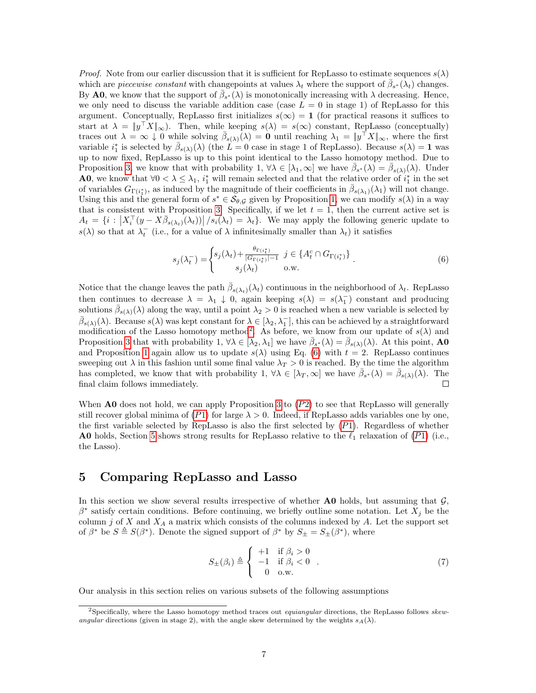*Proof.* Note from our earlier discussion that it is sufficient for RepLasso to estimate sequences  $s(\lambda)$ which are *piecewise constant* with changepoints at values  $\lambda_t$  where the support of  $\bar{\beta}_{s^*}(\lambda_t)$  changes. By **A0**, we know that the support of  $\bar{\beta}_{s^*}(\lambda)$  is monotonically increasing with  $\lambda$  decreasing. Hence, we only need to discuss the variable addition case (case  $L = 0$  in stage 1) of RepLasso for this argument. Conceptually, RepLasso first initializes  $s(\infty) = 1$  (for practical reasons it suffices to start at  $\lambda = ||y^T X||_{\infty}$ ). Then, while keeping  $s(\lambda) = s(\infty)$  constant, RepLasso (conceptually) traces out  $\lambda = \infty \downarrow 0$  while solving  $\bar{\beta}_{s(\lambda)}(\lambda) = 0$  until reaching  $\lambda_1 = ||y^\top X||_{\infty}$ , where the first variable  $i_1^*$  is selected by  $\bar{\beta}_{s(\lambda)}(\lambda)$  (the  $L=0$  case in stage 1 of RepLasso). Because  $s(\lambda)=1$  was up to now fixed, RepLasso is up to this point identical to the Lasso homotopy method. Due to Proposition [3,](#page-5-2) we know that with probability 1,  $\forall \lambda \in [\lambda_1, \infty]$  we have  $\bar{\beta}_{s^*}(\lambda) = \bar{\beta}_{s(\lambda)}(\lambda)$ . Under **A0**, we know that  $\forall 0 < \lambda \leq \lambda_1$ ,  $i_1^*$  will remain selected and that the relative order of  $i_1^*$  in the set of variables  $G_{\Gamma(i_1^*)}$ , as induced by the magnitude of their coefficients in  $\bar{\beta}_{s(\lambda_1)}(\lambda_1)$  will not change. Using this and the general form of  $s^* \in S_{\theta, \mathcal{G}}$  given by Proposition [1,](#page-3-3) we can modify  $s(\lambda)$  in a way that is consistent with Proposition [3.](#page-5-2) Specifically, if we let  $t = 1$ , then the current active set is  $A_t = \{i : |X_i^{\top}(y - X\overline{\beta}_{s(\lambda_t)}(\lambda_t))| / s_i(\lambda_t) = \lambda_t\}.$  We may apply the following generic update to  $s(\lambda)$  so that at  $\lambda_t^-$  (i.e., for a value of  $\lambda$  infinitesimally smaller than  $\lambda_t$ ) it satisfies

<span id="page-6-2"></span>
$$
s_j(\lambda_t^-) = \begin{cases} s_j(\lambda_t) + \frac{\theta_{\Gamma(i_t^*)}}{|G_{\Gamma(i_t^*)}|-1} & j \in \{A_t^c \cap G_{\Gamma(i_t^*)}\} \\ s_j(\lambda_t) & \text{o.w.} \end{cases}
$$
(6)

Notice that the change leaves the path  $\bar{\beta}_{s(\lambda_t)}(\lambda_t)$  continuous in the neighborhood of  $\lambda_t$ . RepLasso then continues to decrease  $\lambda = \lambda_1 \downarrow 0$ , again keeping  $s(\lambda) = s(\lambda_1)$  constant and producing solutions  $\bar{\beta}_{s(\lambda)}(\lambda)$  along the way, until a point  $\lambda_2 > 0$  is reached when a new variable is selected by  $\bar{\beta}_{s(\lambda)}(\lambda)$ . Because  $s(\lambda)$  was kept constant for  $\lambda \in [\lambda_2, \lambda_1]$ , this can be achieved by a straightforward modification of the Lasso homotopy method<sup>[2](#page-6-1)</sup>. As before, we know from our update of  $s(\lambda)$  and Proposition [3](#page-5-2) that with probability  $1, \forall \lambda \in [\lambda_2, \lambda_1]$  we have  $\bar{\beta}_{s^*}(\lambda) = \bar{\beta}_{s(\lambda)}(\lambda)$ . At this point, AO and Proposition [1](#page-3-3) again allow us to update  $s(\lambda)$  using Eq. [\(6\)](#page-6-2) with  $t = 2$ . RepLasso continues sweeping out  $\lambda$  in this fashion until some final value  $\lambda_T > 0$  is reached. By the time the algorithm has completed, we know that with probability 1,  $\forall \lambda \in [\lambda_T, \infty]$  we have  $\bar{\beta}_{s^*}(\lambda) = \bar{\beta}_{s(\lambda)}(\lambda)$ . The final claim follows immediately.

When  $\bf{A0}$  does not hold, we can apply Proposition [3](#page-5-2) to ([P](#page-3-4)2) to see that RepLasso will generally still recover global minima of  $(P1)$  $(P1)$  $(P1)$  for large  $\lambda > 0$ . Indeed, if RepLasso adds variables one by one, the first variable selected by RepLasso is also the first selected by  $(P1)$  $(P1)$  $(P1)$ . Regardless of whether **A0** holds, Section [5](#page-6-0) shows strong results for RepLasso relative to the  $\ell_1$  relaxation of ([P](#page-2-3)1) (i.e., the Lasso).

### <span id="page-6-0"></span>5 Comparing RepLasso and Lasso

In this section we show several results irrespective of whether  $\bf{A0}$  holds, but assuming that  $\mathcal{G}$ ,  $\beta^*$  satisfy certain conditions. Before continuing, we briefly outline some notation. Let  $X_j$  be the column j of X and  $X_A$  a matrix which consists of the columns indexed by A. Let the support set of  $\beta^*$  be  $S \triangleq S(\beta^*)$ . Denote the signed support of  $\beta^*$  by  $S_{\pm} = S_{\pm}(\beta^*)$ , where

$$
S_{\pm}(\beta_i) \triangleq \begin{cases} +1 & \text{if } \beta_i > 0 \\ -1 & \text{if } \beta_i < 0 \\ 0 & \text{o.w.} \end{cases} \tag{7}
$$

Our analysis in this section relies on various subsets of the following assumptions

<span id="page-6-1"></span><sup>&</sup>lt;sup>2</sup>Specifically, where the Lasso homotopy method traces out *equiangular* directions, the RepLasso follows skewangular directions (given in stage 2), with the angle skew determined by the weights  $s_A(\lambda)$ .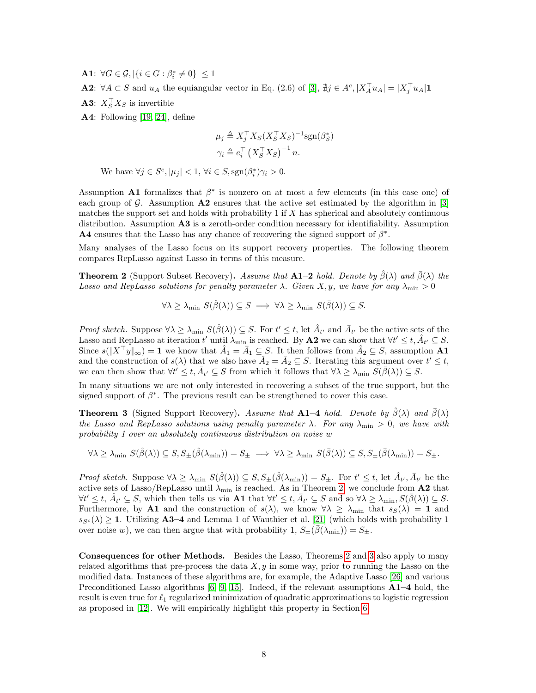**A1**:  $\forall G \in \mathcal{G}, |\{i \in G : \beta_i^* \neq 0\}| \leq 1$ 

**A2**:  $\forall A \subset S$  and  $u_A$  the equiangular vector in Eq. (2.6) of [\[3\]](#page-11-0),  $\sharp j \in A^c$ ,  $|X_A^\top u_A| = |X_j^\top u_A|$ **1** 

**A3**:  $X_S^{\dagger} X_S$  is invertible

A4: Following [\[19,](#page-11-16) [24\]](#page-12-7), define

$$
\mu_j \triangleq X_j^{\top} X_S (X_S^{\top} X_S)^{-1} \text{sgn}(\beta_S^*)
$$
  

$$
\gamma_i \triangleq e_i^{\top} (X_S^{\top} X_S)^{-1} n.
$$

We have  $\forall j \in S^c, |\mu_j| < 1, \forall i \in S, \text{sgn}(\beta_i^*) \gamma_i > 0.$ 

Assumption **A1** formalizes that  $\beta^*$  is nonzero on at most a few elements (in this case one) of each group of  $\mathcal G$ . Assumption  $\mathbf A2$  ensures that the active set estimated by the algorithm in [\[3\]](#page-11-0) matches the support set and holds with probability 1 if  $X$  has spherical and absolutely continuous distribution. Assumption A3 is a zeroth-order condition necessary for identifiability. Assumption **A4** ensures that the Lasso has any chance of recovering the signed support of  $\beta^*$ .

Many analyses of the Lasso focus on its support recovery properties. The following theorem compares RepLasso against Lasso in terms of this measure.

<span id="page-7-0"></span>**Theorem 2** (Support Subset Recovery). Assume that **A1–2** hold. Denote by  $\hat{\beta}(\lambda)$  and  $\bar{\beta}(\lambda)$  the Lasso and RepLasso solutions for penalty parameter  $\lambda$ . Given X, y, we have for any  $\lambda_{\min} > 0$ 

$$
\forall \lambda \geq \lambda_{\min} \ S(\hat{\beta}(\lambda)) \subseteq S \implies \forall \lambda \geq \lambda_{\min} \ S(\bar{\beta}(\lambda)) \subseteq S.
$$

Proof sketch. Suppose  $\forall \lambda \geq \lambda_{\min} S(\hat{\beta}(\lambda)) \subseteq S$ . For  $t' \leq t$ , let  $\hat{A}_{t'}$  and  $\bar{A}_{t'}$  be the active sets of the Lasso and RepLasso at iteration t' until  $\lambda_{\min}$  is reached. By A2 we can show that  $\forall t' \leq t, \hat{A}_{t'} \subseteq S$ . Since  $s(\|X^\top y\|_\infty) = 1$  we know that  $\hat{A}_1 = \bar{A}_1 \subseteq S$ . It then follows from  $\hat{A}_2 \subseteq S$ , assumption **A1** and the construction of  $s(\lambda)$  that we also have  $\hat{A}_2 = \bar{A}_2 \subseteq S$ . Iterating this argument over  $t' \leq t$ , we can then show that  $\forall t' \leq t, \bar{A}_{t'} \subseteq S$  from which it follows that  $\forall \lambda \geq \lambda_{\min} S(\bar{\beta}(\lambda)) \subseteq S$ .

In many situations we are not only interested in recovering a subset of the true support, but the signed support of  $\beta^*$ . The previous result can be strengthened to cover this case.

<span id="page-7-1"></span>**Theorem 3** (Signed Support Recovery). Assume that A1–4 hold. Denote by  $\hat{\beta}(\lambda)$  and  $\bar{\beta}(\lambda)$ the Lasso and RepLasso solutions using penalty parameter  $\lambda$ . For any  $\lambda_{\min} > 0$ , we have with probability 1 over an absolutely continuous distribution on noise w

$$
\forall \lambda \geq \lambda_{\min} \ S(\hat{\beta}(\lambda)) \subseteq S, S_{\pm}(\hat{\beta}(\lambda_{\min})) = S_{\pm} \implies \forall \lambda \geq \lambda_{\min} \ S(\bar{\beta}(\lambda)) \subseteq S, S_{\pm}(\bar{\beta}(\lambda_{\min})) = S_{\pm}.
$$

Proof sketch. Suppose  $\forall \lambda \geq \lambda_{\min} S(\hat{\beta}(\lambda)) \subseteq S, S_{\pm}(\hat{\beta}(\lambda_{\min})) = S_{\pm}$ . For  $t' \leq t$ , let  $\hat{A}_{t'}$ ,  $\bar{A}_{t'}$  be the active sets of Lasso/RepLasso until  $\lambda_{\min}$  is reached. As in Theorem [2,](#page-7-0) we conclude from A2 that  $\forall t' \leq t, \hat{A}_{t'} \subseteq S$ , which then tells us via **A1** that  $\forall t' \leq t, \bar{A}_{t'} \subseteq S$  and so  $\forall \lambda \geq \lambda_{\min}, S(\bar{\beta}(\lambda)) \subseteq S$ . Furthermore, by A1 and the construction of  $s(\lambda)$ , we know  $\forall \lambda \geq \lambda_{\min}$  that  $s_S(\lambda) = 1$  and  $s_{S<sup>c</sup>}(\lambda) \geq 1$ . Utilizing A3–4 and Lemma 1 of Wauthier et al. [\[21\]](#page-12-8) (which holds with probability 1 over noise w), we can then argue that with probability 1,  $S_{\pm}(\bar{\beta}(\lambda_{\min})) = S_{\pm}$ .

Consequences for other Methods. Besides the Lasso, Theorems [2](#page-7-0) and [3](#page-7-1) also apply to many related algorithms that pre-process the data  $X, y$  in some way, prior to running the Lasso on the modified data. Instances of these algorithms are, for example, the Adaptive Lasso [\[26\]](#page-12-3) and various Preconditioned Lasso algorithms  $[6, 9, 15]$  $[6, 9, 15]$  $[6, 9, 15]$ . Indeed, if the relevant assumptions  $A1-4$  hold, the result is even true for  $\ell_1$  regularized minimization of quadratic approximations to logistic regression as proposed in [\[12\]](#page-11-14). We will empirically highlight this property in Section [6.](#page-8-0)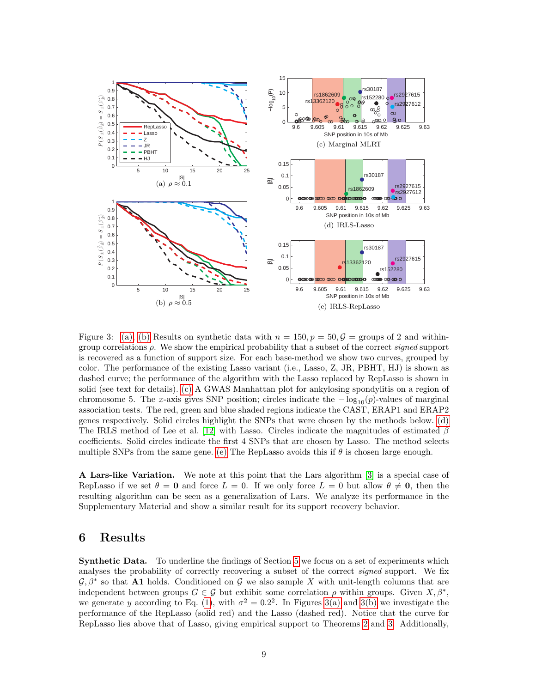<span id="page-8-3"></span><span id="page-8-1"></span>

<span id="page-8-5"></span><span id="page-8-4"></span><span id="page-8-2"></span>Figure 3: [\(a\),](#page-8-1) [\(b\)](#page-8-2) Results on synthetic data with  $n = 150, p = 50, \mathcal{G} =$  groups of 2 and withingroup correlations  $\rho$ . We show the empirical probability that a subset of the correct signed support is recovered as a function of support size. For each base-method we show two curves, grouped by color. The performance of the existing Lasso variant (i.e., Lasso, Z, JR, PBHT, HJ) is shown as dashed curve; the performance of the algorithm with the Lasso replaced by RepLasso is shown in solid (see text for details). [\(c\)](#page-8-3) A GWAS Manhattan plot for ankylosing spondylitis on a region of chromosome 5. The x-axis gives SNP position; circles indicate the  $-\log_{10}(p)$ -values of marginal association tests. The red, green and blue shaded regions indicate the CAST, ERAP1 and ERAP2 genes respectively. Solid circles highlight the SNPs that were chosen by the methods below. [\(d\)](#page-8-4) The IRLS method of Lee et al. [\[12\]](#page-11-14) with Lasso. Circles indicate the magnitudes of estimated  $\beta$ coefficients. Solid circles indicate the first 4 SNPs that are chosen by Lasso. The method selects multiple SNPs from the same gene. [\(e\)](#page-8-5) The RepLasso avoids this if  $\theta$  is chosen large enough.

A Lars-like Variation. We note at this point that the Lars algorithm [\[3\]](#page-11-0) is a special case of RepLasso if we set  $\theta = 0$  and force  $L = 0$ . If we only force  $L = 0$  but allow  $\theta \neq 0$ , then the resulting algorithm can be seen as a generalization of Lars. We analyze its performance in the Supplementary Material and show a similar result for its support recovery behavior.

# <span id="page-8-0"></span>6 Results

Synthetic Data. To underline the findings of Section [5](#page-6-0) we focus on a set of experiments which analyses the probability of correctly recovering a subset of the correct *signed* support. We fix  $\mathcal{G}, \beta^*$  so that A1 holds. Conditioned on G we also sample X with unit-length columns that are independent between groups  $G \in \mathcal{G}$  but exhibit some correlation  $\rho$  within groups. Given  $X, \beta^*$ , we generate y according to Eq. [\(1\)](#page-0-0), with  $\sigma^2 = 0.2^2$ . In Figures [3\(a\)](#page-8-1) and [3\(b\)](#page-8-2) we investigate the performance of the RepLasso (solid red) and the Lasso (dashed red). Notice that the curve for RepLasso lies above that of Lasso, giving empirical support to Theorems [2](#page-7-0) and [3.](#page-7-1) Additionally,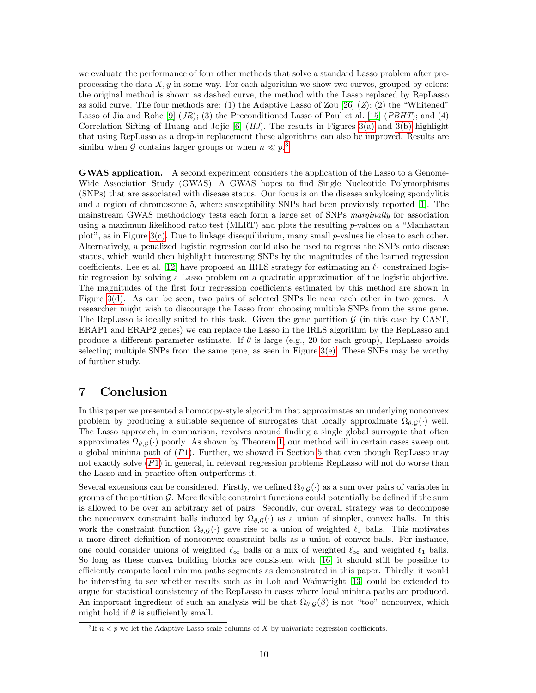we evaluate the performance of four other methods that solve a standard Lasso problem after preprocessing the data  $X, y$  in some way. For each algorithm we show two curves, grouped by colors: the original method is shown as dashed curve, the method with the Lasso replaced by RepLasso as solid curve. The four methods are: (1) the Adaptive Lasso of Zou  $[26]$  (Z); (2) the "Whitened" Lasso of Jia and Rohe [\[9\]](#page-11-12)  $(JR)$ ; (3) the Preconditioned Lasso of Paul et al. [\[15\]](#page-11-13)  $(PBHT)$ ; and (4) Correlation Sifting of Huang and Jojic [\[6\]](#page-11-11)  $(HJ)$ . The results in Figures [3\(a\)](#page-8-1) and [3\(b\)](#page-8-2) highlight that using RepLasso as a drop-in replacement these algorithms can also be improved. Results are similar when G contains larger groups or when  $n \ll p$ <sup>[3](#page-9-1)</sup>.

GWAS application. A second experiment considers the application of the Lasso to a Genome-Wide Association Study (GWAS). A GWAS hopes to find Single Nucleotide Polymorphisms (SNPs) that are associated with disease status. Our focus is on the disease ankylosing spondylitis and a region of chromosome 5, where susceptibility SNPs had been previously reported [\[1\]](#page-11-17). The mainstream GWAS methodology tests each form a large set of SNPs marginally for association using a maximum likelihood ratio test (MLRT) and plots the resulting p-values on a "Manhattan plot", as in Figure  $3(c)$ . Due to linkage disequilibrium, many small p-values lie close to each other. Alternatively, a penalized logistic regression could also be used to regress the SNPs onto disease status, which would then highlight interesting SNPs by the magnitudes of the learned regression coefficients. Lee et al. [\[12\]](#page-11-14) have proposed an IRLS strategy for estimating an  $\ell_1$  constrained logistic regression by solving a Lasso problem on a quadratic approximation of the logistic objective. The magnitudes of the first four regression coefficients estimated by this method are shown in Figure [3\(d\).](#page-8-4) As can be seen, two pairs of selected SNPs lie near each other in two genes. A researcher might wish to discourage the Lasso from choosing multiple SNPs from the same gene. The RepLasso is ideally suited to this task. Given the gene partition  $\mathcal G$  (in this case by CAST, ERAP1 and ERAP2 genes) we can replace the Lasso in the IRLS algorithm by the RepLasso and produce a different parameter estimate. If  $\theta$  is large (e.g., 20 for each group), RepLasso avoids selecting multiple SNPs from the same gene, as seen in Figure  $3(e)$ . These SNPs may be worthy of further study.

### <span id="page-9-0"></span>7 Conclusion

In this paper we presented a homotopy-style algorithm that approximates an underlying nonconvex problem by producing a suitable sequence of surrogates that locally approximate  $\Omega_{\theta,G}(\cdot)$  well. The Lasso approach, in comparison, revolves around finding a single global surrogate that often approximates  $\Omega_{\theta,\mathcal{G}}(\cdot)$  poorly. As shown by Theorem [1,](#page-5-3) our method will in certain cases sweep out a global minima path of  $(P1)$  $(P1)$  $(P1)$ . Further, we showed in Section [5](#page-6-0) that even though RepLasso may not exactly solve ([P](#page-2-3)1) in general, in relevant regression problems RepLasso will not do worse than the Lasso and in practice often outperforms it.

Several extensions can be considered. Firstly, we defined  $\Omega_{\theta, \mathcal{G}}(\cdot)$  as a sum over pairs of variables in groups of the partition  $\mathcal G$ . More flexible constraint functions could potentially be defined if the sum is allowed to be over an arbitrary set of pairs. Secondly, our overall strategy was to decompose the nonconvex constraint balls induced by  $\Omega_{\theta, \mathcal{G}}(\cdot)$  as a union of simpler, convex balls. In this work the constraint function  $\Omega_{\theta, \mathcal{G}}(\cdot)$  gave rise to a union of weighted  $\ell_1$  balls. This motivates a more direct definition of nonconvex constraint balls as a union of convex balls. For instance, one could consider unions of weighted  $\ell_{\infty}$  balls or a mix of weighted  $\ell_{\infty}$  and weighted  $\ell_1$  balls. So long as these convex building blocks are consistent with [\[16\]](#page-11-3) it should still be possible to efficiently compute local minima paths segments as demonstrated in this paper. Thirdly, it would be interesting to see whether results such as in Loh and Wainwright [\[13\]](#page-11-10) could be extended to argue for statistical consistency of the RepLasso in cases where local minima paths are produced. An important ingredient of such an analysis will be that  $\Omega_{\theta,G}(\beta)$  is not "too" nonconvex, which might hold if  $\theta$  is sufficiently small.

<span id="page-9-1"></span> ${}^{3}$ If  $n < p$  we let the Adaptive Lasso scale columns of X by univariate regression coefficients.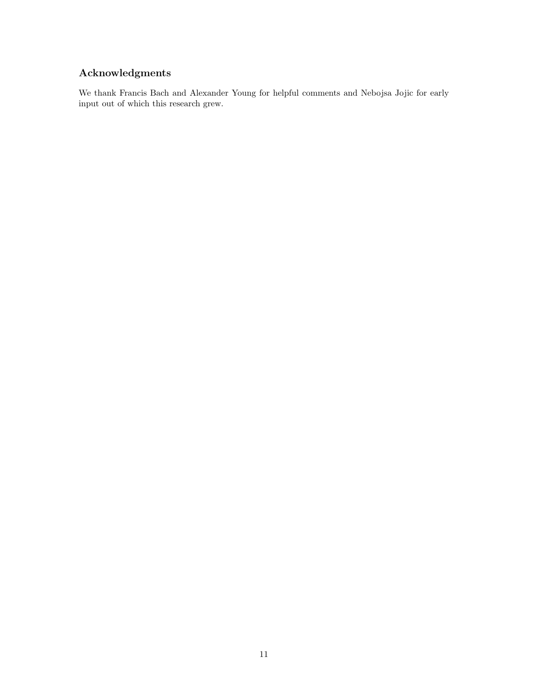# Acknowledgments

We thank Francis Bach and Alexander Young for helpful comments and Nebojsa Jojic for early input out of which this research grew.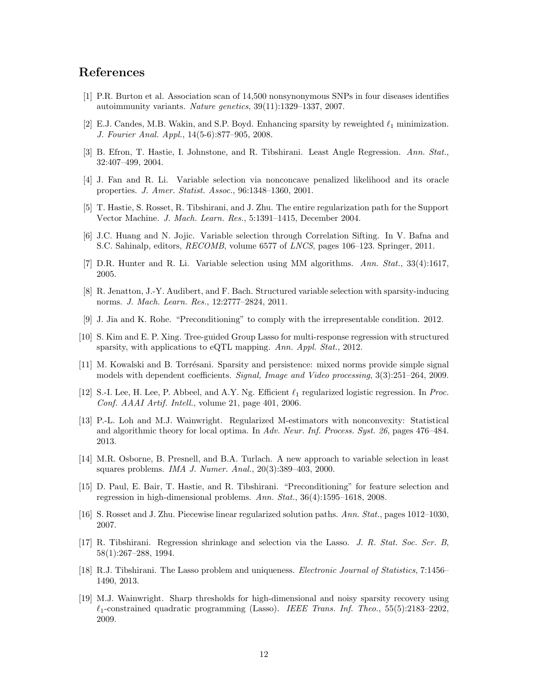# References

- <span id="page-11-17"></span>[1] P.R. Burton et al. Association scan of 14,500 nonsynonymous SNPs in four diseases identifies autoimmunity variants. Nature genetics, 39(11):1329–1337, 2007.
- <span id="page-11-7"></span>[2] E.J. Candes, M.B. Wakin, and S.P. Boyd. Enhancing sparsity by reweighted  $\ell_1$  minimization. J. Fourier Anal. Appl., 14(5-6):877–905, 2008.
- <span id="page-11-0"></span>[3] B. Efron, T. Hastie, I. Johnstone, and R. Tibshirani. Least Angle Regression. Ann. Stat., 32:407–499, 2004.
- <span id="page-11-8"></span>[4] J. Fan and R. Li. Variable selection via nonconcave penalized likelihood and its oracle properties. J. Amer. Statist. Assoc., 96:1348–1360, 2001.
- <span id="page-11-15"></span>[5] T. Hastie, S. Rosset, R. Tibshirani, and J. Zhu. The entire regularization path for the Support Vector Machine. J. Mach. Learn. Res., 5:1391–1415, December 2004.
- <span id="page-11-11"></span>[6] J.C. Huang and N. Jojic. Variable selection through Correlation Sifting. In V. Bafna and S.C. Sahinalp, editors, RECOMB, volume 6577 of LNCS, pages 106–123. Springer, 2011.
- <span id="page-11-9"></span>[7] D.R. Hunter and R. Li. Variable selection using MM algorithms. Ann. Stat., 33(4):1617, 2005.
- <span id="page-11-4"></span>[8] R. Jenatton, J.-Y. Audibert, and F. Bach. Structured variable selection with sparsity-inducing norms. J. Mach. Learn. Res., 12:2777–2824, 2011.
- <span id="page-11-12"></span>[9] J. Jia and K. Rohe. "Preconditioning" to comply with the irrepresentable condition. 2012.
- <span id="page-11-5"></span>[10] S. Kim and E. P. Xing. Tree-guided Group Lasso for multi-response regression with structured sparsity, with applications to eQTL mapping. Ann. Appl. Stat., 2012.
- <span id="page-11-6"></span>[11] M. Kowalski and B. Torrésani. Sparsity and persistence: mixed norms provide simple signal models with dependent coefficients. Signal, Image and Video processing, 3(3):251–264, 2009.
- <span id="page-11-14"></span>[12] S.-I. Lee, H. Lee, P. Abbeel, and A.Y. Ng. Efficient  $\ell_1$  regularized logistic regression. In Proc. Conf. AAAI Artif. Intell., volume 21, page 401, 2006.
- <span id="page-11-10"></span>[13] P.-L. Loh and M.J. Wainwright. Regularized M-estimators with nonconvexity: Statistical and algorithmic theory for local optima. In Adv. Neur. Inf. Process. Syst. 26, pages 476–484. 2013.
- <span id="page-11-1"></span>[14] M.R. Osborne, B. Presnell, and B.A. Turlach. A new approach to variable selection in least squares problems. IMA J. Numer. Anal., 20(3):389–403, 2000.
- <span id="page-11-13"></span>[15] D. Paul, E. Bair, T. Hastie, and R. Tibshirani. "Preconditioning" for feature selection and regression in high-dimensional problems. Ann. Stat., 36(4):1595–1618, 2008.
- <span id="page-11-3"></span>[16] S. Rosset and J. Zhu. Piecewise linear regularized solution paths. Ann. Stat., pages 1012–1030, 2007.
- <span id="page-11-2"></span>[17] R. Tibshirani. Regression shrinkage and selection via the Lasso. J. R. Stat. Soc. Ser. B, 58(1):267–288, 1994.
- <span id="page-11-18"></span>[18] R.J. Tibshirani. The Lasso problem and uniqueness. Electronic Journal of Statistics, 7:1456– 1490, 2013.
- <span id="page-11-16"></span>[19] M.J. Wainwright. Sharp thresholds for high-dimensional and noisy sparsity recovery using  $\ell_1$ -constrained quadratic programming (Lasso). IEEE Trans. Inf. Theo., 55(5):2183–2202, 2009.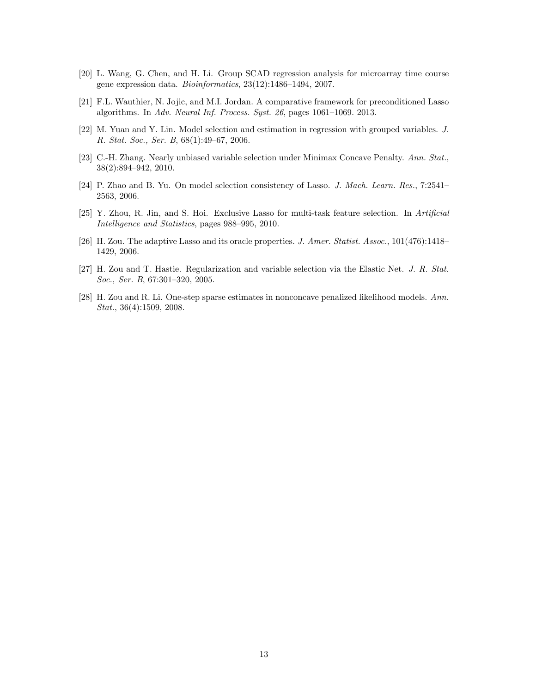- <span id="page-12-6"></span>[20] L. Wang, G. Chen, and H. Li. Group SCAD regression analysis for microarray time course gene expression data. Bioinformatics, 23(12):1486–1494, 2007.
- <span id="page-12-8"></span>[21] F.L. Wauthier, N. Jojic, and M.I. Jordan. A comparative framework for preconditioned Lasso algorithms. In Adv. Neural Inf. Process. Syst. 26, pages 1061–1069. 2013.
- <span id="page-12-0"></span>[22] M. Yuan and Y. Lin. Model selection and estimation in regression with grouped variables. J. R. Stat. Soc., Ser. B, 68(1):49–67, 2006.
- <span id="page-12-4"></span>[23] C.-H. Zhang. Nearly unbiased variable selection under Minimax Concave Penalty. Ann. Stat., 38(2):894–942, 2010.
- <span id="page-12-7"></span>[24] P. Zhao and B. Yu. On model selection consistency of Lasso. J. Mach. Learn. Res., 7:2541– 2563, 2006.
- <span id="page-12-1"></span>[25] Y. Zhou, R. Jin, and S. Hoi. Exclusive Lasso for multi-task feature selection. In Artificial Intelligence and Statistics, pages 988–995, 2010.
- <span id="page-12-3"></span>[26] H. Zou. The adaptive Lasso and its oracle properties. J. Amer. Statist. Assoc., 101(476):1418– 1429, 2006.
- <span id="page-12-5"></span>[27] H. Zou and T. Hastie. Regularization and variable selection via the Elastic Net. J. R. Stat. Soc., Ser. B, 67:301–320, 2005.
- <span id="page-12-2"></span>[28] H. Zou and R. Li. One-step sparse estimates in nonconcave penalized likelihood models. Ann. Stat., 36(4):1509, 2008.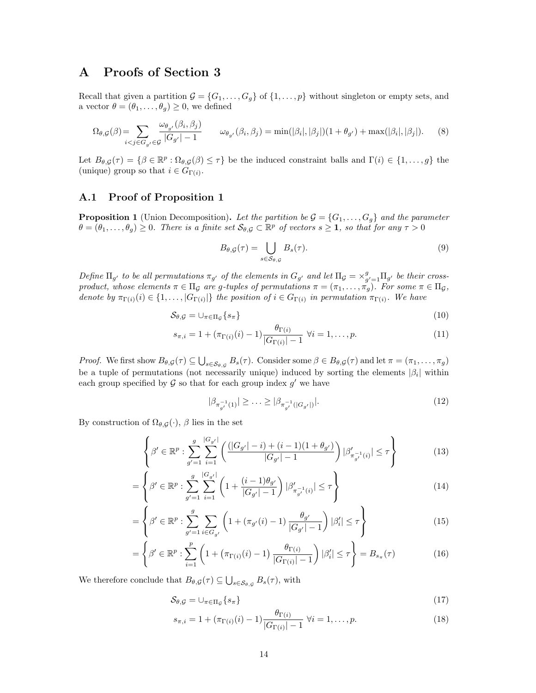# A Proofs of Section 3

Recall that given a partition  $\mathcal{G} = \{G_1, \ldots, G_g\}$  of  $\{1, \ldots, p\}$  without singleton or empty sets, and a vector  $\theta = (\theta_1, \ldots, \theta_q) \geq 0$ , we defined

$$
\Omega_{\theta,\mathcal{G}}(\beta) = \sum_{i < j \in G_g} \frac{\omega_{\theta_{g'}}(\beta_i, \beta_j)}{|G_{g'}|-1} \qquad \omega_{\theta_{g'}}(\beta_i, \beta_j) = \min(|\beta_i|, |\beta_j|)(1 + \theta_{g'}) + \max(|\beta_i|, |\beta_j|). \tag{8}
$$

Let  $B_{\theta,\mathcal{G}}(\tau) = \{\beta \in \mathbb{R}^p : \Omega_{\theta,\mathcal{G}}(\beta) \leq \tau\}$  be the induced constraint balls and  $\Gamma(i) \in \{1,\ldots,g\}$  the (unique) group so that  $i \in G_{\Gamma(i)}$ .

### A.1 Proof of Proposition 1

<span id="page-13-0"></span>**Proposition 1** (Union Decomposition). Let the partition be  $\mathcal{G} = \{G_1, \ldots, G_q\}$  and the parameter  $\theta = (\theta_1, \ldots, \theta_g) \geq 0$ . There is a finite set  $\mathcal{S}_{\theta, \mathcal{G}} \subset \mathbb{R}^p$  of vectors  $s \geq 1$ , so that for any  $\tau > 0$ 

$$
B_{\theta,\mathcal{G}}(\tau) = \bigcup_{s \in \mathcal{S}_{\theta,\mathcal{G}}} B_s(\tau). \tag{9}
$$

Define  $\Pi_{g'}$  to be all permutations  $\pi_{g'}$  of the elements in  $G_{g'}$  and let  $\Pi_{g} = \times_{g'=1}^{g} \Pi_{g'}$  be their crossproduct, whose elements  $\pi \in \Pi_{\mathcal{G}}$  are g-tuples of permutations  $\pi = (\pi_1, \ldots, \pi_g)$ . For some  $\pi \in \Pi_{\mathcal{G}}$ , denote by  $\pi_{\Gamma(i)}(i) \in \{1,\ldots,|G_{\Gamma(i)}|\}$  the position of  $i \in G_{\Gamma(i)}$  in permutation  $\pi_{\Gamma(i)}$ . We have

$$
S_{\theta,\mathcal{G}} = \cup_{\pi \in \Pi_{\mathcal{G}}} \{ s_{\pi} \} \tag{10}
$$

$$
s_{\pi,i} = 1 + (\pi_{\Gamma(i)}(i) - 1) \frac{\theta_{\Gamma(i)}}{|G_{\Gamma(i)}| - 1} \ \forall i = 1, \dots, p.
$$
 (11)

Proof. We first show  $B_{\theta,G}(\tau) \subseteq \bigcup_{s \in \mathcal{S}_{\theta,G}} B_s(\tau)$ . Consider some  $\beta \in B_{\theta,G}(\tau)$  and let  $\pi = (\pi_1, \ldots, \pi_g)$ be a tuple of permutations (not necessarily unique) induced by sorting the elements  $|\beta_i|$  within each group specified by  $\mathcal G$  so that for each group index  $g'$  we have

$$
|\beta_{\pi_{g'}^{-1}(1)}| \ge \ldots \ge |\beta_{\pi_{g'}^{-1}(|G_{g'}|)}|.
$$
\n(12)

By construction of  $\Omega_{\theta,\mathcal{G}}(\cdot)$ ,  $\beta$  lies in the set

$$
\left\{\beta' \in \mathbb{R}^p : \sum_{g'=1}^g \sum_{i=1}^{|G_{g'}|} \left( \frac{(|G_{g'}|-i) + (i-1)(1+\theta_{g'})}{|G_{g'}|-1} \right) |\beta'_{\pi_{g'}^{-1}(i)}| \leq \tau \right\}
$$
(13)

$$
= \left\{ \beta' \in \mathbb{R}^p : \sum_{g'=1}^g \sum_{i=1}^{|G_{g'}|} \left( 1 + \frac{(i-1)\theta_{g'}}{|G_{g'}|-1} \right) |\beta'_{\pi_{g'}^{-1}(i)}| \le \tau \right\}
$$
(14)

$$
= \left\{ \beta' \in \mathbb{R}^p : \sum_{g'=1}^g \sum_{i \in G_{g'}} \left( 1 + (\pi_{g'}(i) - 1) \frac{\theta_{g'}}{|G_{g'}| - 1} \right) |\beta'_i| \le \tau \right\}
$$
(15)

$$
= \left\{ \beta' \in \mathbb{R}^p : \sum_{i=1}^p \left( 1 + \left( \pi_{\Gamma(i)}(i) - 1 \right) \frac{\theta_{\Gamma(i)}}{|G_{\Gamma(i)}| - 1} \right) |\beta'_i| \le \tau \right\} = B_{s_\pi}(\tau) \tag{16}
$$

We therefore conclude that  $B_{\theta,\mathcal{G}}(\tau) \subseteq \bigcup_{s \in \mathcal{S}_{\theta,\mathcal{G}}} B_s(\tau)$ , with

$$
S_{\theta,\mathcal{G}} = \cup_{\pi \in \Pi_{\mathcal{G}}} \{ s_{\pi} \} \tag{17}
$$

$$
s_{\pi,i} = 1 + (\pi_{\Gamma(i)}(i) - 1) \frac{\theta_{\Gamma(i)}}{|G_{\Gamma(i)}| - 1} \ \forall i = 1,\dots,p.
$$
 (18)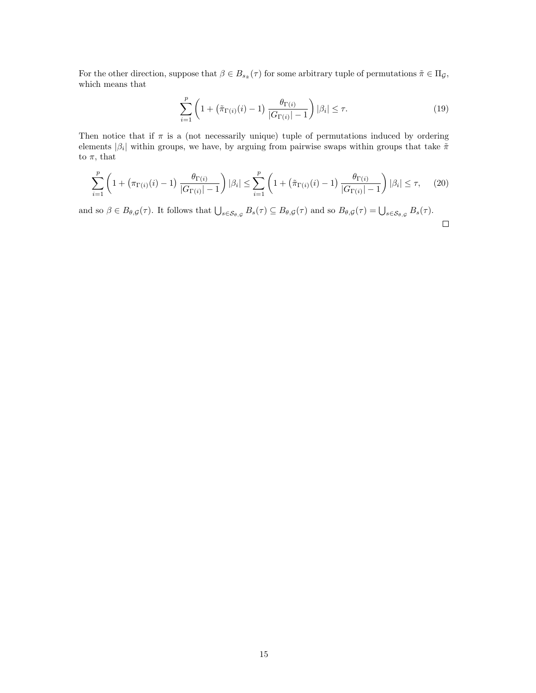For the other direction, suppose that  $\beta \in B_{s_{\tilde{\pi}}}(\tau)$  for some arbitrary tuple of permutations  $\tilde{\pi} \in \Pi_{\mathcal{G}}$ , which means that

$$
\sum_{i=1}^{p} \left( 1 + \left( \tilde{\pi}_{\Gamma(i)}(i) - 1 \right) \frac{\theta_{\Gamma(i)}}{|G_{\Gamma(i)}| - 1} \right) |\beta_i| \le \tau.
$$
 (19)

Then notice that if  $\pi$  is a (not necessarily unique) tuple of permutations induced by ordering elements  $|\beta_i|$  within groups, we have, by arguing from pairwise swaps within groups that take  $\tilde{\pi}$ to  $\pi$ , that

$$
\sum_{i=1}^{p} \left( 1 + \left( \pi_{\Gamma(i)}(i) - 1 \right) \frac{\theta_{\Gamma(i)}}{|G_{\Gamma(i)}| - 1} \right) |\beta_i| \le \sum_{i=1}^{p} \left( 1 + \left( \tilde{\pi}_{\Gamma(i)}(i) - 1 \right) \frac{\theta_{\Gamma(i)}}{|G_{\Gamma(i)}| - 1} \right) |\beta_i| \le \tau, \tag{20}
$$

and so  $\beta \in B_{\theta, \mathcal{G}}(\tau)$ . It follows that  $\bigcup_{s \in \mathcal{S}_{\theta, \mathcal{G}}} B_s(\tau) \subseteq B_{\theta, \mathcal{G}}(\tau)$  and so  $B_{\theta, \mathcal{G}}(\tau) = \bigcup_{s \in \mathcal{S}_{\theta, \mathcal{G}}} B_s(\tau)$ .  $\Box$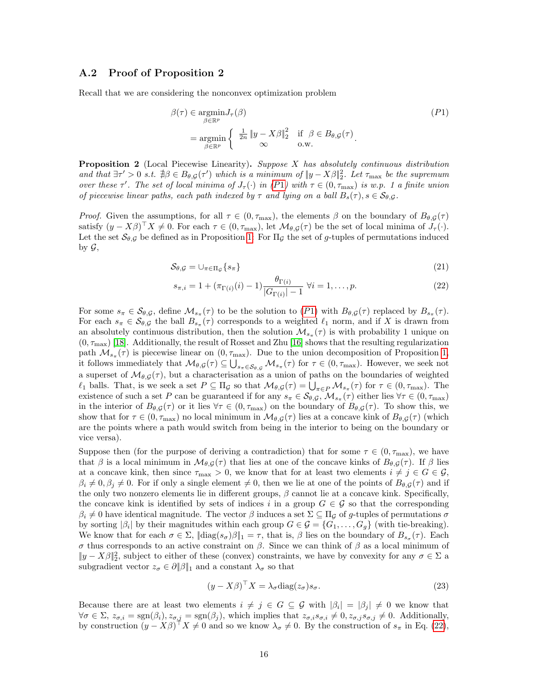#### <span id="page-15-0"></span>A.2 Proof of Proposition 2

Recall that we are considering the nonconvex optimization problem

$$
\beta(\tau) \in \underset{\beta \in \mathbb{R}^p}{\operatorname{argmin}} J_{\tau}(\beta)
$$
\n
$$
= \underset{\beta \in \mathbb{R}^p}{\operatorname{argmin}} \left\{ \frac{\frac{1}{2n} \|y - X\beta\|_2^2 \quad \text{if } \beta \in B_{\theta, \mathcal{G}}(\tau) \right\}}{\infty}
$$
\n
$$
(P1)
$$

**Proposition 2** (Local Piecewise Linearity). Suppose  $X$  has absolutely continuous distribution and that  $\exists \tau' > 0$  s.t.  $\exists \beta \in B_{\theta, \mathcal{G}}(\tau')$  which is a minimum of  $||y - X\beta||_2^2$ . Let  $\tau_{\text{max}}$  be the supremum over these  $\tau'$ . The set of local minima of  $J_{\tau}(\cdot)$  in ([P](#page-15-0)1) with  $\tau \in (0, \tau_{\max})$  is w.p. 1 a finite union of piecewise linear paths, each path indexed by  $\tau$  and lying on a ball  $B_s(\tau)$ ,  $s \in \mathcal{S}_{\theta, \mathcal{G}}$ .

*Proof.* Given the assumptions, for all  $\tau \in (0, \tau_{\text{max}})$ , the elements  $\beta$  on the boundary of  $B_{\theta, \mathcal{G}}(\tau)$ satisfy  $(y - X\beta)^{\top} X \neq 0$ . For each  $\tau \in (0, \tau_{\text{max}})$ , let  $\mathcal{M}_{\theta, \mathcal{G}}(\tau)$  be the set of local minima of  $J_{\tau}(\cdot)$ . Let the set  $\mathcal{S}_{\theta, \mathcal{G}}$  be defined as in Proposition [1:](#page-13-0) For  $\Pi_{\mathcal{G}}$  the set of g-tuples of permutations induced by  $\mathcal{G}$ ,

$$
S_{\theta,\mathcal{G}} = \cup_{\pi \in \Pi_{\mathcal{G}}} \{ s_{\pi} \} \tag{21}
$$

<span id="page-15-1"></span>
$$
s_{\pi,i} = 1 + (\pi_{\Gamma(i)}(i) - 1) \frac{\theta_{\Gamma(i)}}{|G_{\Gamma(i)}| - 1} \ \forall i = 1, \dots, p.
$$
 (22)

For some  $s_{\pi} \in \mathcal{S}_{\theta, \mathcal{G}}$ , define  $\mathcal{M}_{s_{\pi}}(\tau)$  to be the solution to  $(P1)$  $(P1)$  $(P1)$  with  $B_{\theta, \mathcal{G}}(\tau)$  replaced by  $B_{s_{\pi}}(\tau)$ . For each  $s_{\pi} \in S_{\theta, \mathcal{G}}$  the ball  $B_{s_{\pi}}(\tau)$  corresponds to a weighted  $\ell_1$  norm, and if X is drawn from an absolutely continuous distribution, then the solution  $\mathcal{M}_{s_{\pi}}(\tau)$  is with probability 1 unique on  $(0, \tau_{\text{max}})$  [\[18\]](#page-11-18). Additionally, the result of Rosset and Zhu [\[16\]](#page-11-3) shows that the resulting regularization path  $\mathcal{M}_{s_{\pi}}(\tau)$  is piecewise linear on  $(0, \tau_{\max})$ . Due to the union decomposition of Proposition [1,](#page-13-0) it follows immediately that  $\mathcal{M}_{\theta, \mathcal{G}}(\tau) \subseteq \bigcup_{s_{\pi} \in \mathcal{S}_{\theta, \mathcal{G}}} \mathcal{M}_{s_{\pi}}(\tau)$  for  $\tau \in (0, \tau_{\max})$ . However, we seek not a superset of  $\mathcal{M}_{\theta,\mathcal{G}}(\tau)$ , but a characterisation as a union of paths on the boundaries of weighted  $\ell_1$  balls. That, is we seek a set  $P \subseteq \Pi_{\mathcal{G}}$  so that  $\mathcal{M}_{\theta, \mathcal{G}}(\tau) = \bigcup_{\pi \in P} \mathcal{M}_{s_{\pi}}(\tau)$  for  $\tau \in (0, \tau_{\max})$ . The existence of such a set P can be guaranteed if for any  $s_{\pi} \in S_{\theta, \mathcal{G}}, \mathcal{M}_{s_{\pi}}(\tau)$  either lies  $\forall \tau \in (0, \tau_{\max})$ in the interior of  $B_{\theta,\mathcal{G}}(\tau)$  or it lies  $\forall \tau \in (0, \tau_{\text{max}})$  on the boundary of  $B_{\theta,\mathcal{G}}(\tau)$ . To show this, we show that for  $\tau \in (0, \tau_{\text{max}})$  no local minimum in  $\mathcal{M}_{\theta, \mathcal{G}}(\tau)$  lies at a concave kink of  $B_{\theta, \mathcal{G}}(\tau)$  (which are the points where a path would switch from being in the interior to being on the boundary or vice versa).

Suppose then (for the purpose of deriving a contradiction) that for some  $\tau \in (0, \tau_{\text{max}})$ , we have that  $\beta$  is a local minimum in  $\mathcal{M}_{\theta,\mathcal{G}}(\tau)$  that lies at one of the concave kinks of  $B_{\theta,\mathcal{G}}(\tau)$ . If  $\beta$  lies at a concave kink, then since  $\tau_{\text{max}} > 0$ , we know that for at least two elements  $i \neq j \in G \in \mathcal{G}$ ,  $\beta_i \neq 0, \beta_j \neq 0$ . For if only a single element  $\neq 0$ , then we lie at one of the points of  $B_{\theta,\mathcal{G}}(\tau)$  and if the only two nonzero elements lie in different groups,  $\beta$  cannot lie at a concave kink. Specifically, the concave kink is identified by sets of indices i in a group  $G \in \mathcal{G}$  so that the corresponding  $\beta_i \neq 0$  have identical magnitude. The vector  $\beta$  induces a set  $\Sigma \subseteq \Pi_{\mathcal{G}}$  of g-tuples of permutations  $\sigma$ by sorting  $|\beta_i|$  by their magnitudes within each group  $G \in \mathcal{G} = \{G_1, \ldots, G_g\}$  (with tie-breaking). We know that for each  $\sigma \in \Sigma$ ,  $\|\text{diag}(s_{\sigma})\beta\|_1 = \tau$ , that is,  $\beta$  lies on the boundary of  $B_{s_{\sigma}}(\tau)$ . Each σ thus corresponds to an active constraint on β. Since we can think of β as a local minimum of  $||y - X\beta||_2^2$ , subject to either of these (convex) constraints, we have by convexity for any  $\sigma \in \Sigma$  a subgradient vector  $z_{\sigma} \in \partial ||\beta||_1$  and a constant  $\lambda_{\sigma}$  so that

<span id="page-15-2"></span>
$$
(y - X\beta)^{\top} X = \lambda_{\sigma} \text{diag}(z_{\sigma}) s_{\sigma}.
$$
\n(23)

Because there are at least two elements  $i \neq j \in G \subseteq G$  with  $|\beta_i| = |\beta_j| \neq 0$  we know that  $\forall \sigma \in \Sigma$ ,  $z_{\sigma,i} = \text{sgn}(\beta_i)$ ,  $z_{\sigma,j} = \text{sgn}(\beta_j)$ , which implies that  $z_{\sigma,i} s_{\sigma,i} \neq 0$ ,  $z_{\sigma,j} s_{\sigma,j} \neq 0$ . Additionally, by construction  $(y - X\beta)^{\top} X \neq 0$  and so we know  $\lambda_{\sigma} \neq 0$ . By the construction of  $s_{\pi}$  in Eq. [\(22\)](#page-15-1),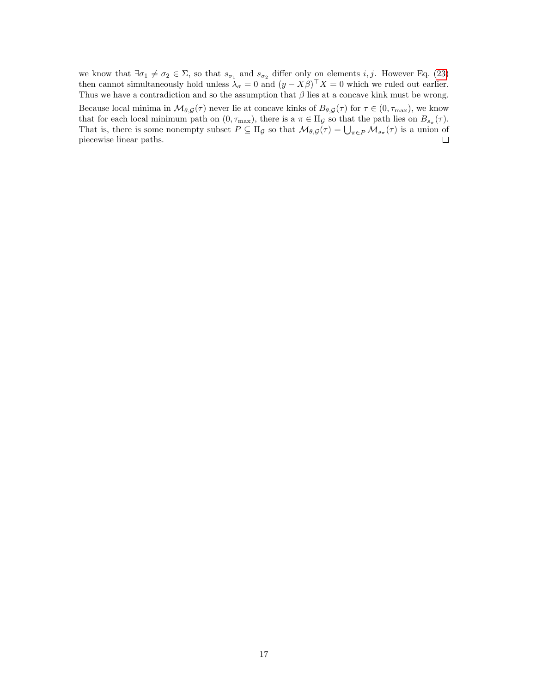we know that  $\exists \sigma_1 \neq \sigma_2 \in \Sigma$ , so that  $s_{\sigma_1}$  and  $s_{\sigma_2}$  differ only on elements i, j. However Eq. [\(23\)](#page-15-2) then cannot simultaneously hold unless  $\lambda_{\sigma} = 0$  and  $(y - X\beta)^{\top} X = 0$  which we ruled out earlier. Thus we have a contradiction and so the assumption that  $\beta$  lies at a concave kink must be wrong. Because local minima in  $\mathcal{M}_{\theta, \mathcal{G}}(\tau)$  never lie at concave kinks of  $B_{\theta, \mathcal{G}}(\tau)$  for  $\tau \in (0, \tau_{\max})$ , we know

that for each local minimum path on  $(0, \tau_{\text{max}})$ , there is a  $\pi \in \Pi_{\mathcal{G}}$  so that the path lies on  $B_{s_{\pi}}(\tau)$ . That is, there is some nonempty subset  $P \subseteq \Pi_{\mathcal{G}}$  so that  $\mathcal{M}_{\theta, \mathcal{G}}(\tau) = \bigcup_{\pi \in P} \mathcal{M}_{s_{\pi}}(\tau)$  is a union of piecewise linear paths.  $\Box$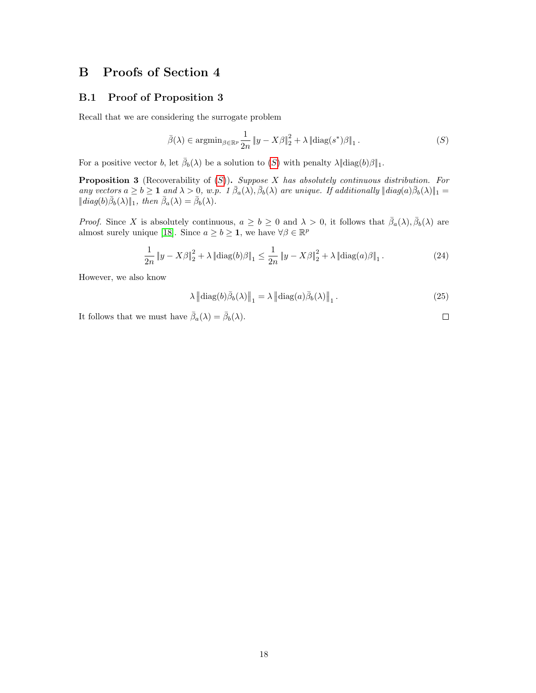# B Proofs of Section 4

#### <span id="page-17-0"></span>B.1 Proof of Proposition 3

Recall that we are considering the surrogate problem

$$
\bar{\beta}(\lambda) \in \operatorname{argmin}_{\beta \in \mathbb{R}^p} \frac{1}{2n} \|y - X\beta\|_2^2 + \lambda \left\| \operatorname{diag}(s^*)\beta \right\|_1. \tag{S}
$$

For a positive vector b, let  $\bar{\beta}_b(\lambda)$  be a solution to  $(S)$  $(S)$  $(S)$  with penalty  $\lambda \|\text{diag}(b)\beta\|_1$ .

**Proposition 3** (Recoverability of  $(S)$  $(S)$  $(S)$ ). Suppose X has absolutely continuous distribution. For any vectors  $a \ge b \ge 1$  and  $\lambda > 0$ , w.p. 1  $\bar{\beta}_a(\lambda), \bar{\beta}_b(\lambda)$  are unique. If additionally  $\|\text{diag}(a)\bar{\beta}_b(\lambda)\|_1 =$  $||diag(b)\bar{\beta}_b(\lambda)||_1$ , then  $\bar{\beta}_a(\lambda) = \bar{\beta}_b(\lambda)$ .

*Proof.* Since X is absolutely continuous,  $a \ge b \ge 0$  and  $\lambda > 0$ , it follows that  $\bar{\beta}_a(\lambda), \bar{\beta}_b(\lambda)$  are almost surely unique [\[18\]](#page-11-18). Since  $a \ge b \ge 1$ , we have  $\forall \beta \in \mathbb{R}^p$ 

$$
\frac{1}{2n} \|y - X\beta\|_2^2 + \lambda \left\|{\text{diag}}(b)\beta\right\|_1 \le \frac{1}{2n} \|y - X\beta\|_2^2 + \lambda \left\|{\text{diag}}(a)\beta\right\|_1. \tag{24}
$$

However, we also know

$$
\lambda \left\| \text{diag}(b)\bar{\beta}_b(\lambda) \right\|_1 = \lambda \left\| \text{diag}(a)\bar{\beta}_b(\lambda) \right\|_1. \tag{25}
$$

It follows that we must have  $\bar{\beta}_a(\lambda) = \bar{\beta}_b(\lambda)$ .

 $\Box$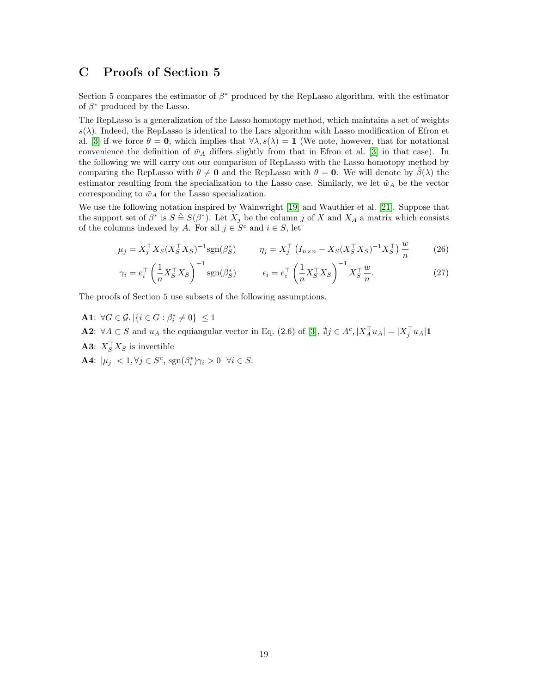# C Proofs of Section 5

Section 5 compares the estimator of  $\beta^*$  produced by the RepLasso algorithm, with the estimator of  $\beta^*$  produced by the Lasso.

The RepLasso is a generalization of the Lasso homotopy method, which maintains a set of weights  $s(\lambda)$ . Indeed, the RepLasso is identical to the Lars algorithm with Lasso modification of Efron et al. [\[3\]](#page-11-0) if we force  $\theta = 0$ , which implies that  $\forall \lambda, s(\lambda) = 1$  (We note, however, that for notational convenience the definition of  $\bar{w}_A$  differs slightly from that in Efron et al. [\[3\]](#page-11-0) in that case). In the following we will carry out our comparison of RepLasso with the Lasso homotopy method by comparing the RepLasso with  $\theta \neq \mathbf{0}$  and the RepLasso with  $\theta = \mathbf{0}$ . We will denote by  $\hat{\beta}(\lambda)$  the estimator resulting from the specialization to the Lasso case. Similarly, we let  $\hat{w}_A$  be the vector corresponding to  $\bar{w}_A$  for the Lasso specialization.

We use the following notation inspired by Wainwright [\[19\]](#page-11-16) and Wauthier et al. [\[21\]](#page-12-8). Suppose that the support set of  $\beta^*$  is  $S \triangleq S(\beta^*)$ . Let  $X_j$  be the column j of X and  $X_A$  a matrix which consists of the columns indexed by A. For all  $j \in S^c$  and  $i \in S$ , let

$$
\mu_j = X_j^{\top} X_S (X_S^{\top} X_S)^{-1} \text{sgn}(\beta_S^*) \qquad \eta_j = X_j^{\top} \left( I_{n \times n} - X_S (X_S^{\top} X_S)^{-1} X_S^{\top} \right) \frac{w}{n} \qquad (26)
$$

<span id="page-18-1"></span><span id="page-18-0"></span>
$$
\gamma_i = e_i^\top \left(\frac{1}{n} X_S^\top X_S\right)^{-1} \text{sgn}(\beta_S^*) \qquad \epsilon_i = e_i^\top \left(\frac{1}{n} X_S^\top X_S\right)^{-1} X_S^\top \frac{w}{n}.\tag{27}
$$

The proofs of Section 5 use subsets of the following assumptions.

**A1**:  $\forall G \in \mathcal{G}, |\{i \in G : \beta_i^* \neq 0\}| \leq 1$ 

**A2**:  $\forall A \subset S$  and  $u_A$  the equiangular vector in Eq. (2.6) of [\[3\]](#page-11-0),  $\sharp j \in A^c$ ,  $|X_A^\top u_A| = |X_j^\top u_A|$ **1** 

- **A3**:  $X_S^{\dagger} X_S$  is invertible
- **A4:**  $|\mu_j| < 1, \forall j \in S^c$ ,  $sgn(\beta_i^*)\gamma_i > 0 \quad \forall i \in S$ .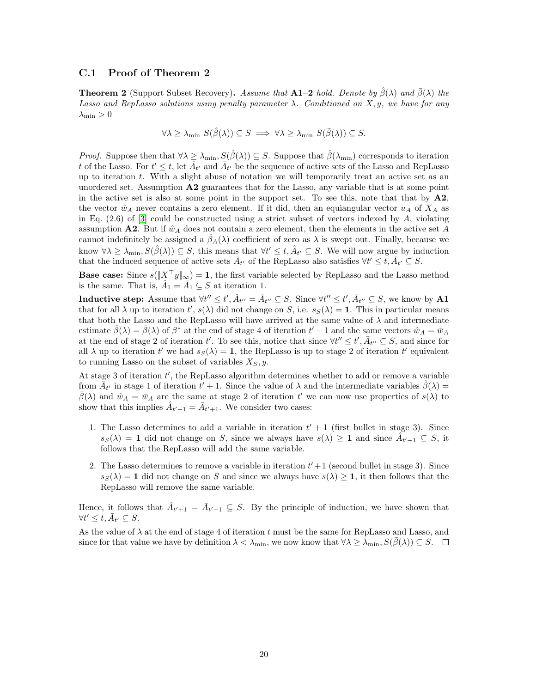#### C.1 Proof of Theorem 2

<span id="page-19-0"></span>**Theorem 2** (Support Subset Recovery). Assume that A1–2 hold. Denote by  $\hat{\beta}(\lambda)$  and  $\bar{\beta}(\lambda)$  the Lasso and RepLasso solutions using penalty parameter  $\lambda$ . Conditioned on X, y, we have for any  $\lambda_{\min} > 0$ 

$$
\forall \lambda \geq \lambda_{\min} \ S(\hat{\beta}(\lambda)) \subseteq S \implies \forall \lambda \geq \lambda_{\min} \ S(\bar{\beta}(\lambda)) \subseteq S.
$$

*Proof.* Suppose then that  $\forall \lambda \geq \lambda_{\min}, S(\hat{\beta}(\lambda)) \subseteq S$ . Suppose that  $\hat{\beta}(\lambda_{\min})$  corresponds to iteration t of the Lasso. For  $t' \leq t$ , let  $\hat{A}_{t'}$  and  $\bar{A}_{t'}$  be the sequence of active sets of the Lasso and RepLasso up to iteration  $t$ . With a slight abuse of notation we will temporarily treat an active set as an unordered set. Assumption  $\mathbf{A2}$  guarantees that for the Lasso, any variable that is at some point in the active set is also at some point in the support set. To see this, note that that by  $\mathbf{A2}$ , the vector  $\hat{w}_A$  never contains a zero element. If it did, then an equiangular vector  $u_A$  of  $X_A$  as in Eq.  $(2.6)$  of  $[3]$  could be constructed using a strict subset of vectors indexed by A, violating assumption A2. But if  $\hat{w}_A$  does not contain a zero element, then the elements in the active set A cannot indefinitely be assigned a  $\hat{\beta}_A(\lambda)$  coefficient of zero as  $\lambda$  is swept out. Finally, because we know  $\forall \lambda \geq \lambda_{\min}, S(\hat{\beta}(\lambda)) \subseteq S$ , this means that  $\forall t' \leq t, \hat{A}_{t'} \subseteq S$ . We will now argue by induction that the induced sequence of active sets  $\bar{A}_{t'}$  of the RepLasso also satisfies  $\forall t' \leq t, \bar{A}_{t'} \subseteq S$ .

**Base case:** Since  $s(|X^{\top}y|_{\infty}) = 1$ , the first variable selected by RepLasso and the Lasso method is the same. That is,  $\hat{A}_1 = \bar{A}_1 \subseteq S$  at iteration 1.

Inductive step: Assume that  $\forall t'' \leq t', \hat{A}_{t''} = \bar{A}_{t''} \subseteq S$ . Since  $\forall t'' \leq t', \bar{A}_{t''} \subseteq S$ , we know by A1 that for all  $\lambda$  up to iteration  $t'$ ,  $s(\lambda)$  did not change on S, i.e.  $s_S(\lambda) = 1$ . This in particular means that both the Lasso and the RepLasso will have arrived at the same value of  $\lambda$  and intermediate estimate  $\hat{\beta}(\lambda) = \bar{\beta}(\lambda)$  of  $\beta^*$  at the end of stage 4 of iteration  $t'-1$  and the same vectors  $\hat{w}_A = \bar{w}_A$ at the end of stage 2 of iteration t'. To see this, notice that since  $\forall t'' \le t', \overline{A}_{t''} \subseteq S$ , and since for all  $\lambda$  up to iteration t' we had  $s_S(\lambda) = 1$ , the RepLasso is up to stage 2 of iteration t' equivalent to running Lasso on the subset of variables  $X_S, y$ .

At stage 3 of iteration  $t'$ , the RepLasso algorithm determines whether to add or remove a variable from  $\tilde{A}_{t'}$  in stage 1 of iteration  $t' + 1$ . Since the value of  $\lambda$  and the intermediate variables  $\hat{\beta}(\lambda) =$  $\bar{\beta}(\lambda)$  and  $\hat{w}_A = \bar{w}_A$  are the same at stage 2 of iteration t' we can now use properties of  $s(\lambda)$  to show that this implies  $\hat{A}_{t'+1} = \bar{A}_{t'+1}$ . We consider two cases:

- 1. The Lasso determines to add a variable in iteration  $t' + 1$  (first bullet in stage 3). Since  $s_S(\lambda) = 1$  did not change on S, since we always have  $s(\lambda) \geq 1$  and since  $A_{t'+1} \subseteq S$ , it follows that the RepLasso will add the same variable.
- 2. The Lasso determines to remove a variable in iteration  $t' + 1$  (second bullet in stage 3). Since  $s_S(\lambda) = 1$  did not change on S and since we always have  $s(\lambda) \geq 1$ , it then follows that the RepLasso will remove the same variable.

Hence, it follows that  $\hat{A}_{t'+1} = \bar{A}_{t'+1} \subseteq S$ . By the principle of induction, we have shown that  $\forall t' \leq t, \overline{A}_{t'} \subseteq S.$ 

As the value of  $\lambda$  at the end of stage 4 of iteration t must be the same for RepLasso and Lasso, and since for that value we have by definition  $\lambda < \lambda_{\min}$ , we now know that  $\forall \lambda \geq \lambda_{\min}$ ,  $S(\beta(\lambda)) \subseteq S$ .  $\Box$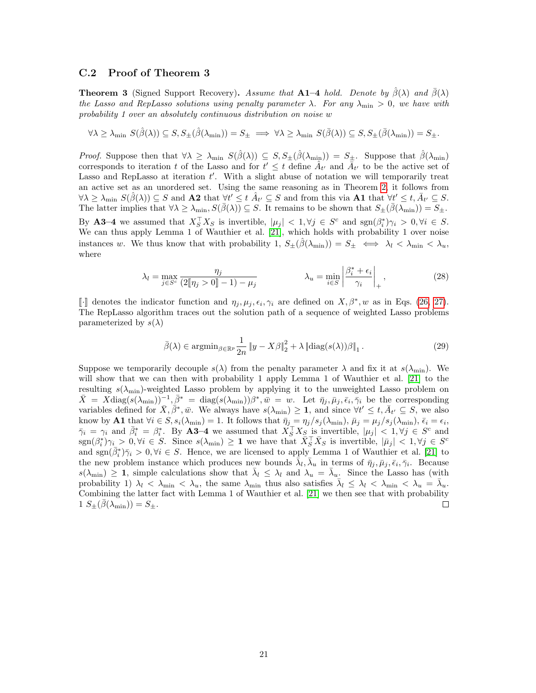#### C.2 Proof of Theorem 3

**Theorem 3** (Signed Support Recovery). Assume that A1–4 hold. Denote by  $\hat{\beta}(\lambda)$  and  $\bar{\beta}(\lambda)$ the Lasso and RepLasso solutions using penalty parameter  $\lambda$ . For any  $\lambda_{\min} > 0$ , we have with probability 1 over an absolutely continuous distribution on noise w

$$
\forall \lambda \geq \lambda_{\min} \ S(\hat{\beta}(\lambda)) \subseteq S, S_{\pm}(\hat{\beta}(\lambda_{\min})) = S_{\pm} \implies \forall \lambda \geq \lambda_{\min} \ S(\bar{\beta}(\lambda)) \subseteq S, S_{\pm}(\bar{\beta}(\lambda_{\min})) = S_{\pm}.
$$

*Proof.* Suppose then that  $\forall \lambda \geq \lambda_{\min} S(\hat{\beta}(\lambda)) \subseteq S, S_{\pm}(\hat{\beta}(\lambda_{\min})) = S_{\pm}$ . Suppose that  $\hat{\beta}(\lambda_{\min})$ corresponds to iteration t of the Lasso and for  $t' \leq t$  define  $\hat{A}_{t'}$  and  $\bar{A}_{t'}$  to be the active set of Lasso and RepLasso at iteration  $t'$ . With a slight abuse of notation we will temporarily treat an active set as an unordered set. Using the same reasoning as in Theorem [2,](#page-19-0) it follows from  $\forall \lambda \geq \lambda_{\min} S(\hat{\beta}(\lambda)) \subseteq S$  and  $A2$  that  $\forall t' \leq t$   $\hat{A}_{t'} \subseteq S$  and from this via  $A1$  that  $\forall t' \leq t$ ,  $\bar{A}_{t'} \subseteq S$ . The latter implies that  $\forall \lambda \geq \lambda_{\min}, S(\bar{\beta}(\lambda)) \subseteq S$ . It remains to be shown that  $S_{\pm}(\bar{\beta}(\lambda_{\min})) = S_{\pm}$ . By **A3–4** we assumed that  $X_S^{\top} X_S$  is invertible,  $|\mu_j| < 1, \forall j \in S^c$  and  $sgn(\beta_i^*)\gamma_i > 0, \forall i \in S$ . We can thus apply Lemma 1 of Wauthier et al. [\[21\]](#page-12-8), which holds with probability 1 over noise instances w. We thus know that with probability 1,  $S_{\pm}(\hat{\beta}(\lambda_{\min})) = S_{\pm} \iff \lambda_l < \lambda_{\min} < \lambda_u$ , where

$$
\lambda_l = \max_{j \in S^c} \frac{\eta_j}{(2[\![\eta_j > 0]\!]-1) - \mu_j} \qquad \qquad \lambda_u = \min_{i \in S} \left| \frac{\beta_i^* + \epsilon_i}{\gamma_i} \right|_+, \tag{28}
$$

[|⋅] denotes the indicator function and  $\eta_j, \mu_j, \epsilon_i, \gamma_i$  are defined on  $X, \beta^*, w$  as in Eqs. [\(26,](#page-18-0) [27\)](#page-18-1).<br>The BonI asso algorithm trages out the solution path of a sequence of weighted I asso problems The RepLasso algorithm traces out the solution path of a sequence of weighted Lasso problems parameterized by  $s(\lambda)$ 

$$
\bar{\beta}(\lambda) \in \operatorname{argmin}_{\beta \in \mathbb{R}^p} \frac{1}{2n} \|y - X\beta\|_2^2 + \lambda \left\| \operatorname{diag}(s(\lambda))\beta \right\|_1. \tag{29}
$$

Suppose we temporarily decouple  $s(\lambda)$  from the penalty parameter  $\lambda$  and fix it at  $s(\lambda_{\min})$ . We will show that we can then with probability 1 apply Lemma 1 of Wauthier et al. [\[21\]](#page-12-8) to the resulting  $s(\lambda_{\min})$ -weighted Lasso problem by applying it to the unweighted Lasso problem on  $\bar{X} = X \text{diag}(s(\lambda_{\text{min}}))^{-1}, \bar{\beta}^* = \text{diag}(s(\lambda_{\text{min}})) \beta^*, \bar{w} = w.$  Let  $\bar{\eta}_j, \bar{\mu}_j, \bar{\epsilon}_i, \bar{\gamma}_i$  be the corresponding variables defined for  $\bar{X}, \bar{\beta}^*, \bar{w}$ . We always have  $s(\lambda_{\min}) \geq 1$ , and since  $\forall t' \leq t, \bar{A}_{t'} \subseteq S$ , we also know by A1 that  $\forall i \in S, s_i(\lambda_{\min}) = 1$ . It follows that  $\bar{\eta}_j = \eta_j/s_j(\lambda_{\min}), \bar{\mu}_j = \mu_j/s_j(\lambda_{\min}), \bar{\epsilon}_i = \epsilon_i$ ,  $\bar{\gamma}_i = \gamma_i$  and  $\bar{\beta}_i^* = \beta_i^*$ . By A3-4 we assumed that  $X_S^{\top} X_S$  is invertible,  $|\mu_j| < 1, \forall j \in S^c$  and  $\text{sgn}(\beta_i^*)\gamma_i > 0, \forall i \in S.$  Since  $s(\lambda_{\min}) \geq 1$  we have that  $\bar{X}_S^{\top} \bar{X}_S$  is invertible,  $|\bar{\mu}_j| < 1, \forall j \in S^c$ and  $sgn(\bar{\beta}_i^*)\bar{\gamma}_i > 0, \forall i \in S$ . Hence, we are licensed to apply Lemma 1 of Wauthier et al. [\[21\]](#page-12-8) to the new problem instance which produces new bounds  $\bar{\bar{\lambda}}_l, \bar{\lambda}_u$  in terms of  $\bar{\eta}_j, \bar{\mu}_j, \bar{\epsilon}_i, \bar{\gamma}_i$ . Because  $s(\lambda_{\min}) \geq 1$ , simple calculations show that  $\bar{\lambda}_l \leq \lambda_l$  and  $\lambda_u = \bar{\lambda}_u$ . Since the Lasso has (with probability 1)  $\lambda_l < \lambda_{\min} < \lambda_u$ , the same  $\lambda_{\min}$  thus also satisfies  $\bar{\lambda}_l \leq \lambda_l < \lambda_{\min} < \lambda_u = \bar{\lambda}_u$ . Combining the latter fact with Lemma 1 of Wauthier et al. [\[21\]](#page-12-8) we then see that with probability  $1 S_{\pm}(\bar{\beta}(\lambda_{\min})) = S_{\pm}.$  $\Box$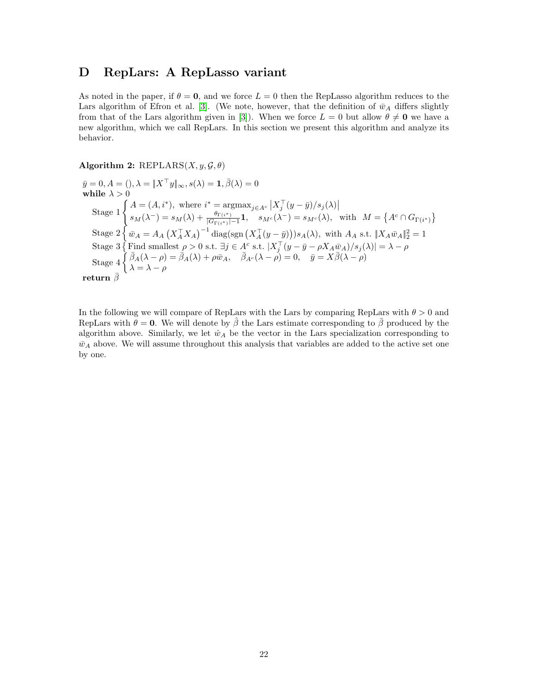### D RepLars: A RepLasso variant

As noted in the paper, if  $\theta = 0$ , and we force  $L = 0$  then the RepLasso algorithm reduces to the Lars algorithm of Efron et al. [\[3\]](#page-11-0). (We note, however, that the definition of  $\bar{w}_A$  differs slightly from that of the Lars algorithm given in [\[3\]](#page-11-0)). When we force  $L = 0$  but allow  $\theta \neq \mathbf{0}$  we have a new algorithm, which we call RepLars. In this section we present this algorithm and analyze its behavior.

#### Algorithm 2: REPLARS $(X, y, \mathcal{G}, \theta)$

 $\bar{y}=0, A=(), \lambda=\|X^\top y\|_\infty, s(\lambda)=\mathbf{1}, \bar{\beta}(\lambda)=0$ while  $\lambda > 0$ Stage  $1\begin{cases} A = (A, i^*)$ , where  $i^* = \operatorname{argmax}_{j \in A^c} |X_j^\top (y - \bar{y})/s_j(\lambda)|$  $s_M(\lambda^-) = s_M(\lambda) + \frac{\theta_{\Gamma(i^*)}}{|G_{\Gamma(i^*)}|-1} \mathbf{1}, \quad s_{M^c}(\lambda^-) = s_{M^c}(\lambda), \text{ with } M = \left\{A^c \cap G_{\Gamma(i^*)}\right\}$ Stage  $2\{\bar{w}_A = A_A (X_A^{\top} X_A)^{-1} \text{diag}(\text{sgn}(X_A^{\top}(y-\bar{y})))s_A(\lambda), \text{ with } A_A \text{ s.t. } \|X_A \bar{w}_A\|_2^2 = 1$ Stage 3 { Find smallest  $\rho > 0$  s.t.  $\exists j \in A^c$  s.t.  $|X_j^\top (y - \bar{y} - \rho X_A \bar{w}_A)/s_j(\lambda)| = \lambda - \rho$  $\text{Stage 4} \left\{ \begin{array}{l} \bar{\beta}_A(\lambda-\rho) = \bar{\beta}_A(\lambda) + \rho \bar{w}_A, \quad \bar{\beta}_{A^c}(\lambda-\rho) = 0, \quad \bar{y} = X \bar{\beta}(\lambda-\rho) \end{array} \right.$  $\lambda = \lambda - \rho$  ${\bf return}\,\, \bar{\beta}$ 

In the following we will compare of RepLars with the Lars by comparing RepLars with  $\theta > 0$  and RepLars with  $\theta = 0$ . We will denote by  $\hat{\beta}$  the Lars estimate corresponding to  $\bar{\beta}$  produced by the algorithm above. Similarly, we let  $\hat{w}_A$  be the vector in the Lars specialization corresponding to  $\bar{w}_A$  above. We will assume throughout this analysis that variables are added to the active set one by one.